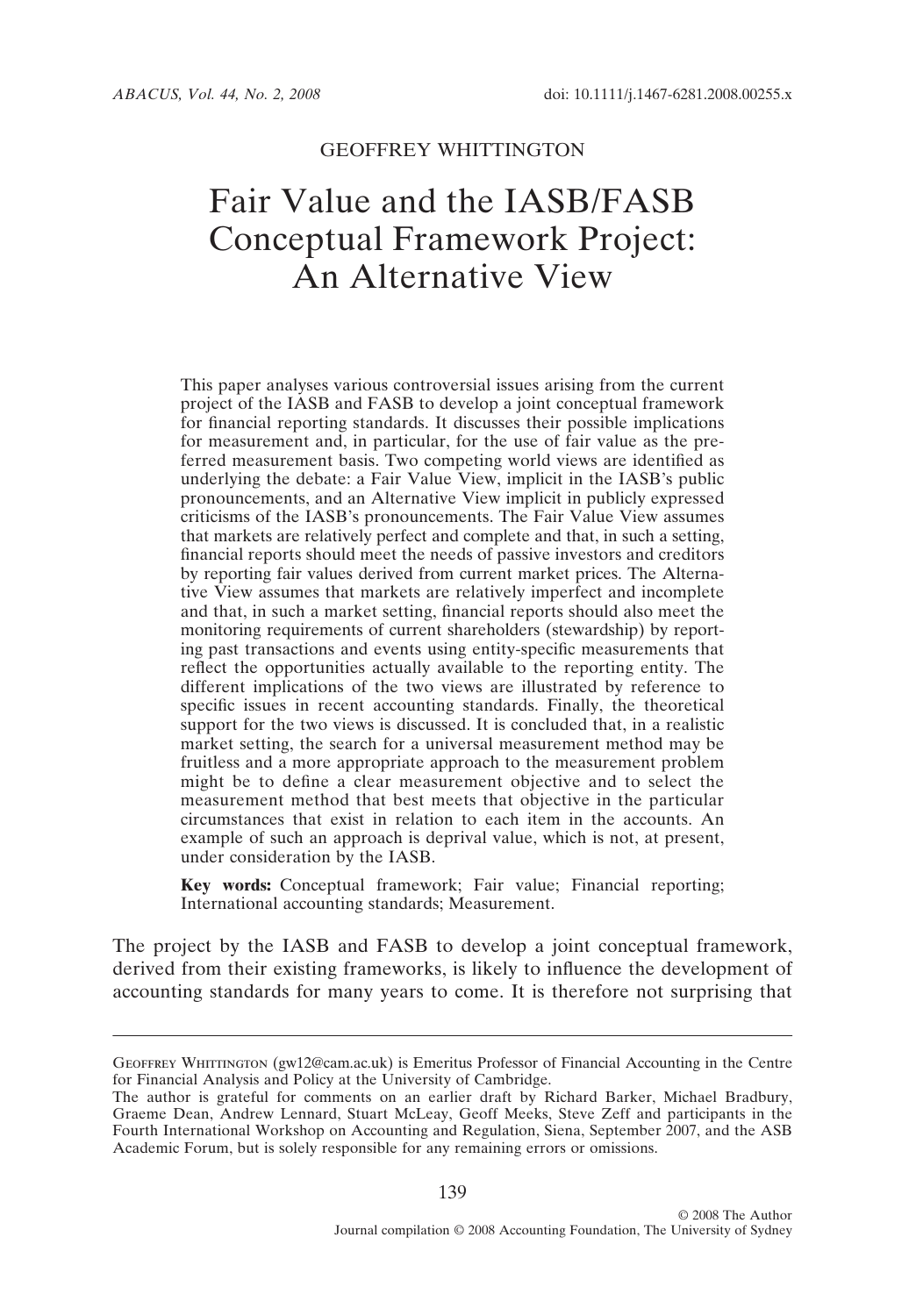# **GEOFFREY WHITTINGTON**

# Fair Value and the IASB/FASB Conceptual Framework Project: An Alternative View

This paper analyses various controversial issues arising from the current project of the IASB and FASB to develop a joint conceptual framework for financial reporting standards. It discusses their possible implications for measurement and, in particular, for the use of fair value as the preferred measurement basis. Two competing world views are identified as underlying the debate: a Fair Value View, implicit in the IASB's public pronouncements, and an Alternative View implicit in publicly expressed criticisms of the IASB's pronouncements. The Fair Value View assumes that markets are relatively perfect and complete and that, in such a setting, financial reports should meet the needs of passive investors and creditors by reporting fair values derived from current market prices. The Alternative View assumes that markets are relatively imperfect and incomplete and that, in such a market setting, financial reports should also meet the monitoring requirements of current shareholders (stewardship) by reporting past transactions and events using entity-specific measurements that reflect the opportunities actually available to the reporting entity. The different implications of the two views are illustrated by reference to specific issues in recent accounting standards. Finally, the theoretical support for the two views is discussed. It is concluded that, in a realistic market setting, the search for a universal measurement method may be fruitless and a more appropriate approach to the measurement problem might be to define a clear measurement objective and to select the measurement method that best meets that objective in the particular circumstances that exist in relation to each item in the accounts. An example of such an approach is deprival value, which is not, at present, under consideration by the IASB.

**Key words:** Conceptual framework; Fair value; Financial reporting; International accounting standards; Measurement.

The project by the IASB and FASB to develop a joint conceptual framework, derived from their existing frameworks, is likely to influence the development of accounting standards for many years to come. It is therefore not surprising that

GEOFFREY WHITTINGTON (gw12@cam.ac.uk) is Emeritus Professor of Financial Accounting in the Centre for Financial Analysis and Policy at the University of Cambridge.

The author is grateful for comments on an earlier draft by Richard Barker, Michael Bradbury, Graeme Dean, Andrew Lennard, Stuart McLeay, Geoff Meeks, Steve Zeff and participants in the Fourth International Workshop on Accounting and Regulation, Siena, September 2007, and the ASB Academic Forum, but is solely responsible for any remaining errors or omissions.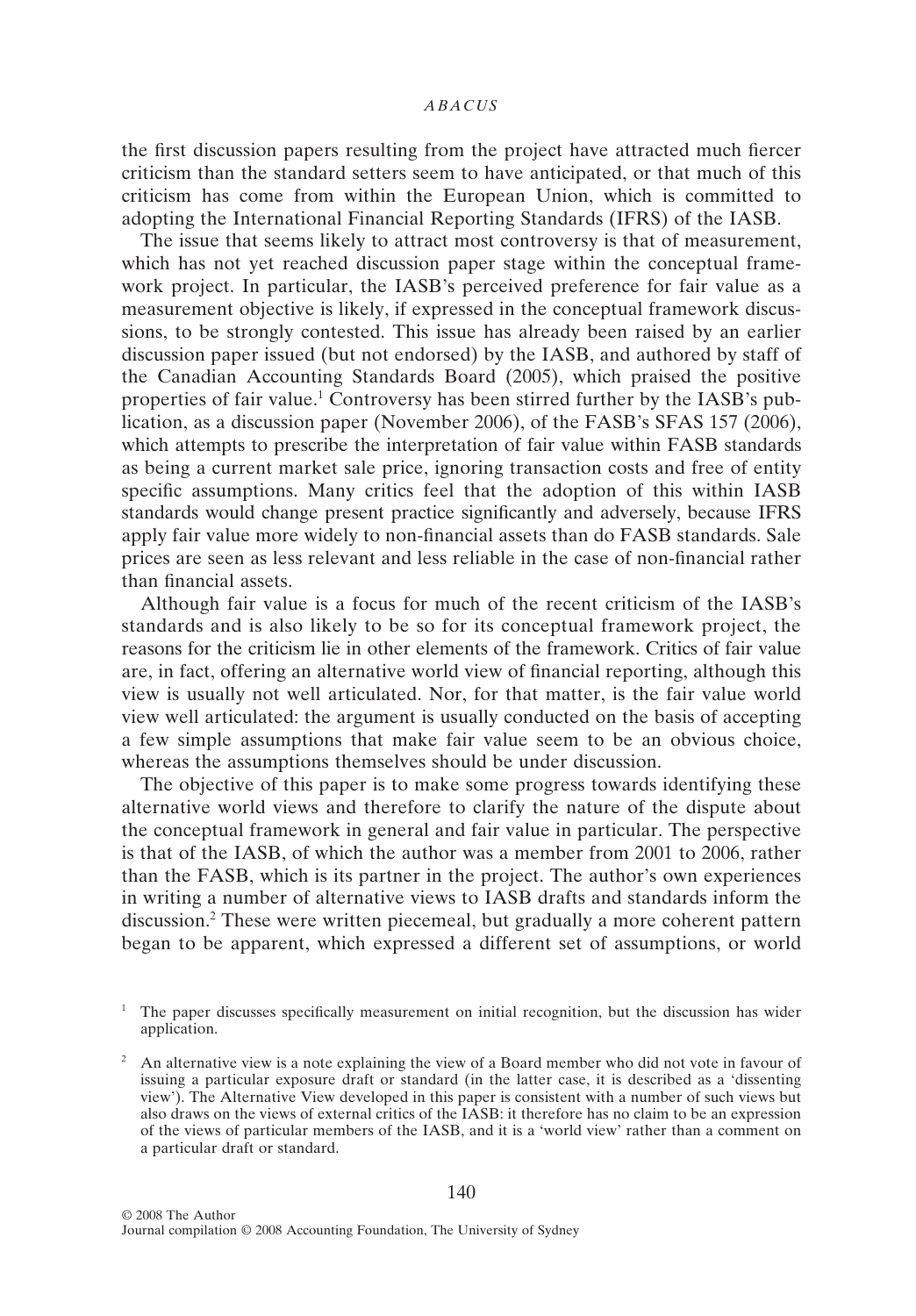the first discussion papers resulting from the project have attracted much fiercer criticism than the standard setters seem to have anticipated, or that much of this criticism has come from within the European Union, which is committed to adopting the International Financial Reporting Standards (IFRS) of the IASB.

The issue that seems likely to attract most controversy is that of measurement, which has not yet reached discussion paper stage within the conceptual framework project. In particular, the IASB's perceived preference for fair value as a measurement objective is likely, if expressed in the conceptual framework discussions, to be strongly contested. This issue has already been raised by an earlier discussion paper issued (but not endorsed) by the IASB, and authored by staff of the Canadian Accounting Standards Board (2005), which praised the positive properties of fair value.<sup>1</sup> Controversy has been stirred further by the IASB's publication, as a discussion paper (November 2006), of the FASB's SFAS 157 (2006), which attempts to prescribe the interpretation of fair value within FASB standards as being a current market sale price, ignoring transaction costs and free of entity specific assumptions. Many critics feel that the adoption of this within IASB standards would change present practice significantly and adversely, because IFRS apply fair value more widely to non-financial assets than do FASB standards. Sale prices are seen as less relevant and less reliable in the case of non-financial rather than financial assets.

Although fair value is a focus for much of the recent criticism of the IASB's standards and is also likely to be so for its conceptual framework project, the reasons for the criticism lie in other elements of the framework. Critics of fair value are, in fact, offering an alternative world view of financial reporting, although this view is usually not well articulated. Nor, for that matter, is the fair value world view well articulated: the argument is usually conducted on the basis of accepting a few simple assumptions that make fair value seem to be an obvious choice, whereas the assumptions themselves should be under discussion.

The objective of this paper is to make some progress towards identifying these alternative world views and therefore to clarify the nature of the dispute about the conceptual framework in general and fair value in particular. The perspective is that of the IASB, of which the author was a member from 2001 to 2006, rather than the FASB, which is its partner in the project. The author's own experiences in writing a number of alternative views to IASB drafts and standards inform the discussion.2 These were written piecemeal, but gradually a more coherent pattern began to be apparent, which expressed a different set of assumptions, or world

<sup>&</sup>lt;sup>1</sup> The paper discusses specifically measurement on initial recognition, but the discussion has wider application.

<sup>&</sup>lt;sup>2</sup> An alternative view is a note explaining the view of a Board member who did not vote in favour of issuing a particular exposure draft or standard (in the latter case, it is described as a 'dissenting view'). The Alternative View developed in this paper is consistent with a number of such views but also draws on the views of external critics of the IASB: it therefore has no claim to be an expression of the views of particular members of the IASB, and it is a 'world view' rather than a comment on a particular draft or standard.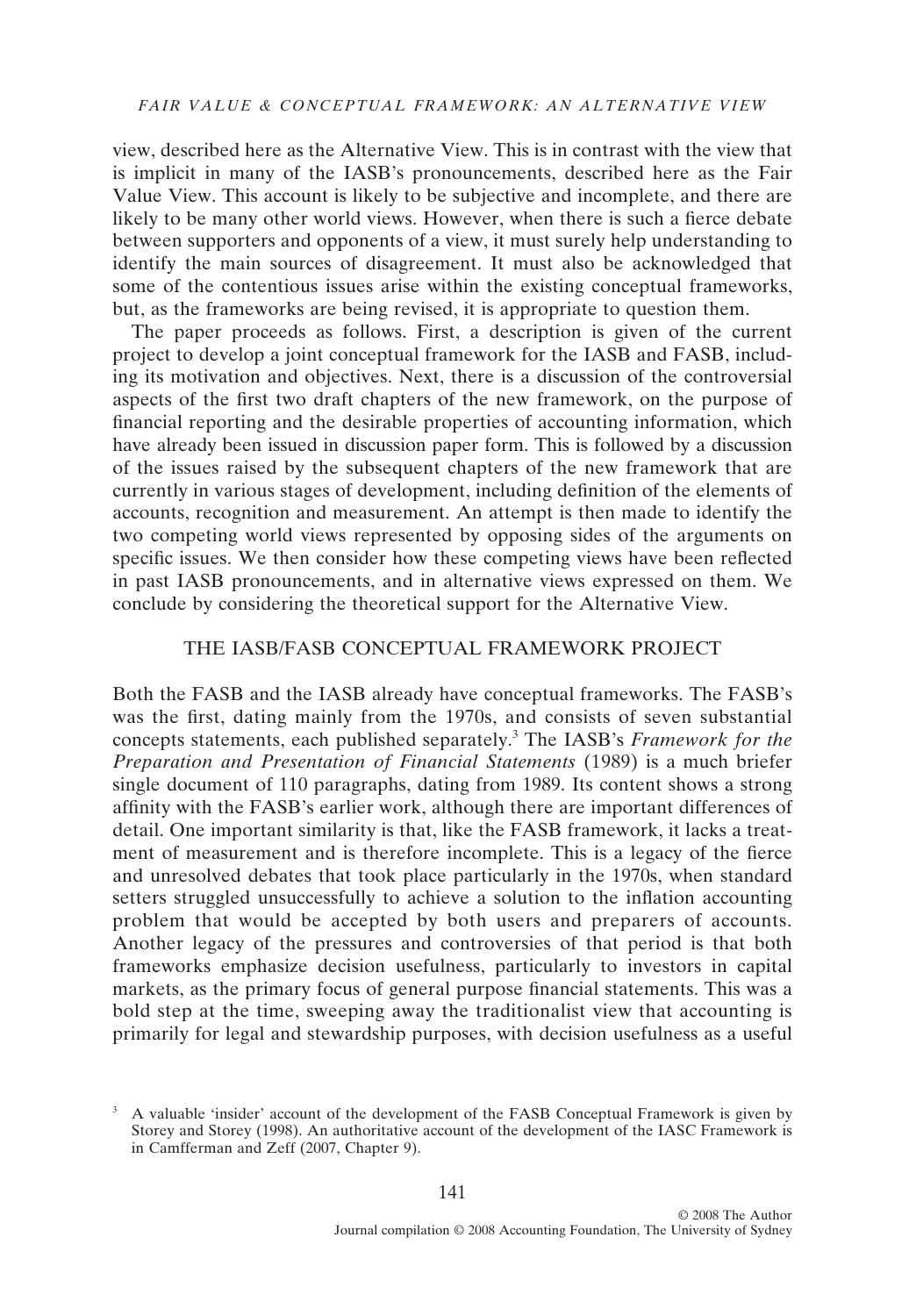view, described here as the Alternative View. This is in contrast with the view that is implicit in many of the IASB's pronouncements, described here as the Fair Value View. This account is likely to be subjective and incomplete, and there are likely to be many other world views. However, when there is such a fierce debate between supporters and opponents of a view, it must surely help understanding to identify the main sources of disagreement. It must also be acknowledged that some of the contentious issues arise within the existing conceptual frameworks, but, as the frameworks are being revised, it is appropriate to question them.

The paper proceeds as follows. First, a description is given of the current project to develop a joint conceptual framework for the IASB and FASB, including its motivation and objectives. Next, there is a discussion of the controversial aspects of the first two draft chapters of the new framework, on the purpose of financial reporting and the desirable properties of accounting information, which have already been issued in discussion paper form. This is followed by a discussion of the issues raised by the subsequent chapters of the new framework that are currently in various stages of development, including definition of the elements of accounts, recognition and measurement. An attempt is then made to identify the two competing world views represented by opposing sides of the arguments on specific issues. We then consider how these competing views have been reflected in past IASB pronouncements, and in alternative views expressed on them. We conclude by considering the theoretical support for the Alternative View.

# THE IASB/FASB CONCEPTUAL FRAMEWORK PROJECT

Both the FASB and the IASB already have conceptual frameworks. The FASB's was the first, dating mainly from the 1970s, and consists of seven substantial concepts statements, each published separately.3 The IASB's *Framework for the Preparation and Presentation of Financial Statements* (1989) is a much briefer single document of 110 paragraphs, dating from 1989. Its content shows a strong affinity with the FASB's earlier work, although there are important differences of detail. One important similarity is that, like the FASB framework, it lacks a treatment of measurement and is therefore incomplete. This is a legacy of the fierce and unresolved debates that took place particularly in the 1970s, when standard setters struggled unsuccessfully to achieve a solution to the inflation accounting problem that would be accepted by both users and preparers of accounts. Another legacy of the pressures and controversies of that period is that both frameworks emphasize decision usefulness, particularly to investors in capital markets, as the primary focus of general purpose financial statements. This was a bold step at the time, sweeping away the traditionalist view that accounting is primarily for legal and stewardship purposes, with decision usefulness as a useful

<sup>&</sup>lt;sup>3</sup> A valuable 'insider' account of the development of the FASB Conceptual Framework is given by Storey and Storey (1998). An authoritative account of the development of the IASC Framework is in Camfferman and Zeff (2007, Chapter 9).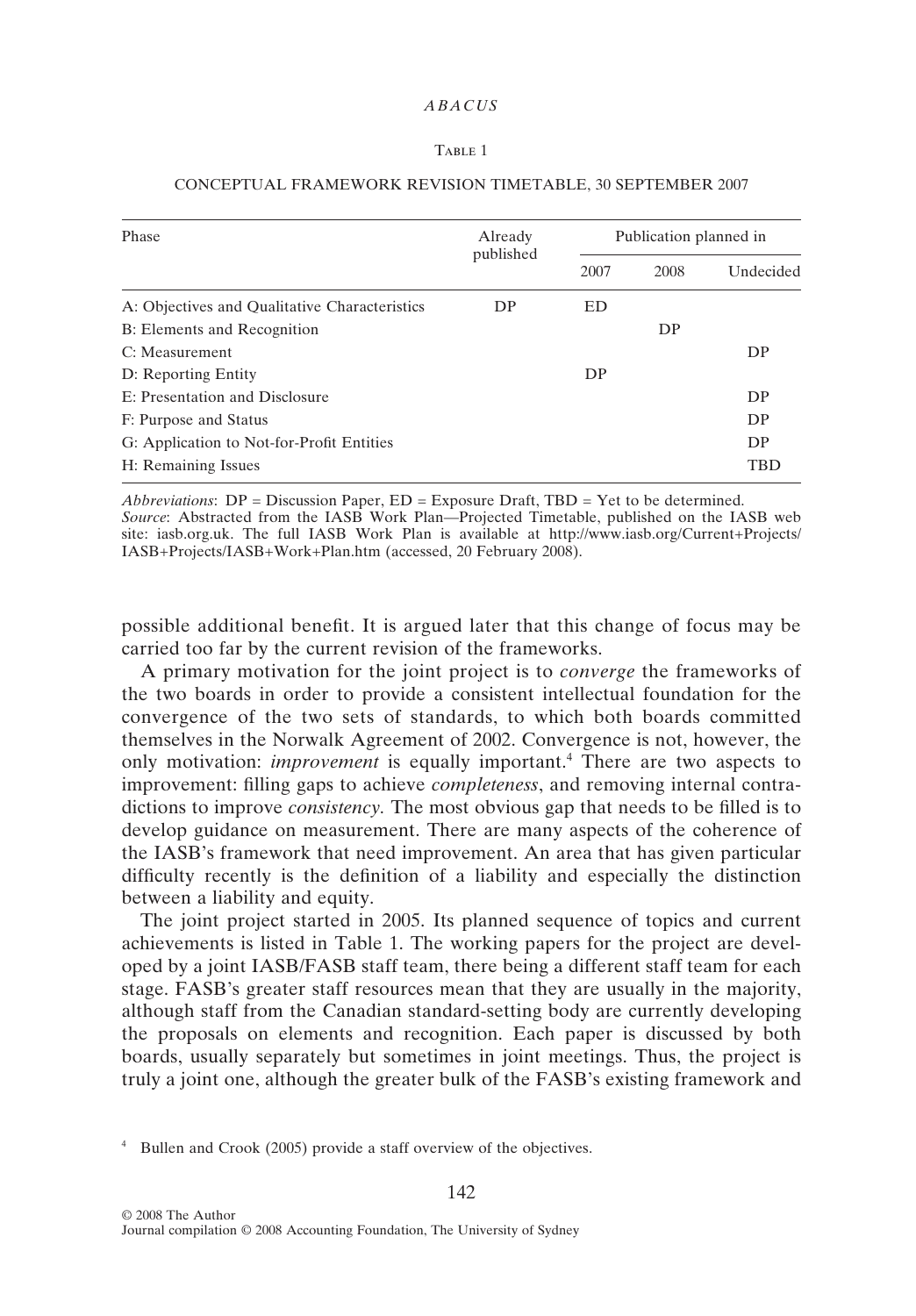#### TABLE 1

| Phase                                         | Already<br>published | Publication planned in |      |           |
|-----------------------------------------------|----------------------|------------------------|------|-----------|
|                                               |                      | 2007                   | 2008 | Undecided |
| A: Objectives and Qualitative Characteristics | DP                   | ED                     |      |           |
| B: Elements and Recognition                   |                      |                        | DP   |           |
| C: Measurement                                |                      |                        |      | DP        |
| D: Reporting Entity                           |                      | DP                     |      |           |
| E: Presentation and Disclosure                |                      |                        |      | DP        |
| F: Purpose and Status                         |                      |                        |      | DP        |
| G: Application to Not-for-Profit Entities     |                      |                        |      | DP        |
| H: Remaining Issues                           |                      |                        |      | TBD       |

## CONCEPTUAL FRAMEWORK REVISION TIMETABLE, 30 SEPTEMBER 2007

*Abbreviations*:  $DP = Discussion$  Paper,  $ED = Exposure$  Draft,  $TBD = Yet$  to be determined.

*Source*: Abstracted from the IASB Work Plan—Projected Timetable, published on the IASB web site: iasb.org.uk. The full IASB Work Plan is available at http://www.iasb.org/Current+Projects/ IASB+Projects/IASB+Work+Plan.htm (accessed, 20 February 2008).

possible additional benefit. It is argued later that this change of focus may be carried too far by the current revision of the frameworks.

A primary motivation for the joint project is to *converge* the frameworks of the two boards in order to provide a consistent intellectual foundation for the convergence of the two sets of standards, to which both boards committed themselves in the Norwalk Agreement of 2002. Convergence is not, however, the only motivation: *improvement* is equally important.4 There are two aspects to improvement: filling gaps to achieve *completeness*, and removing internal contradictions to improve *consistency.* The most obvious gap that needs to be filled is to develop guidance on measurement. There are many aspects of the coherence of the IASB's framework that need improvement. An area that has given particular difficulty recently is the definition of a liability and especially the distinction between a liability and equity.

The joint project started in 2005. Its planned sequence of topics and current achievements is listed in Table 1. The working papers for the project are developed by a joint IASB/FASB staff team, there being a different staff team for each stage. FASB's greater staff resources mean that they are usually in the majority, although staff from the Canadian standard-setting body are currently developing the proposals on elements and recognition. Each paper is discussed by both boards, usually separately but sometimes in joint meetings. Thus, the project is truly a joint one, although the greater bulk of the FASB's existing framework and

142

<sup>&</sup>lt;sup>4</sup> Bullen and Crook (2005) provide a staff overview of the objectives.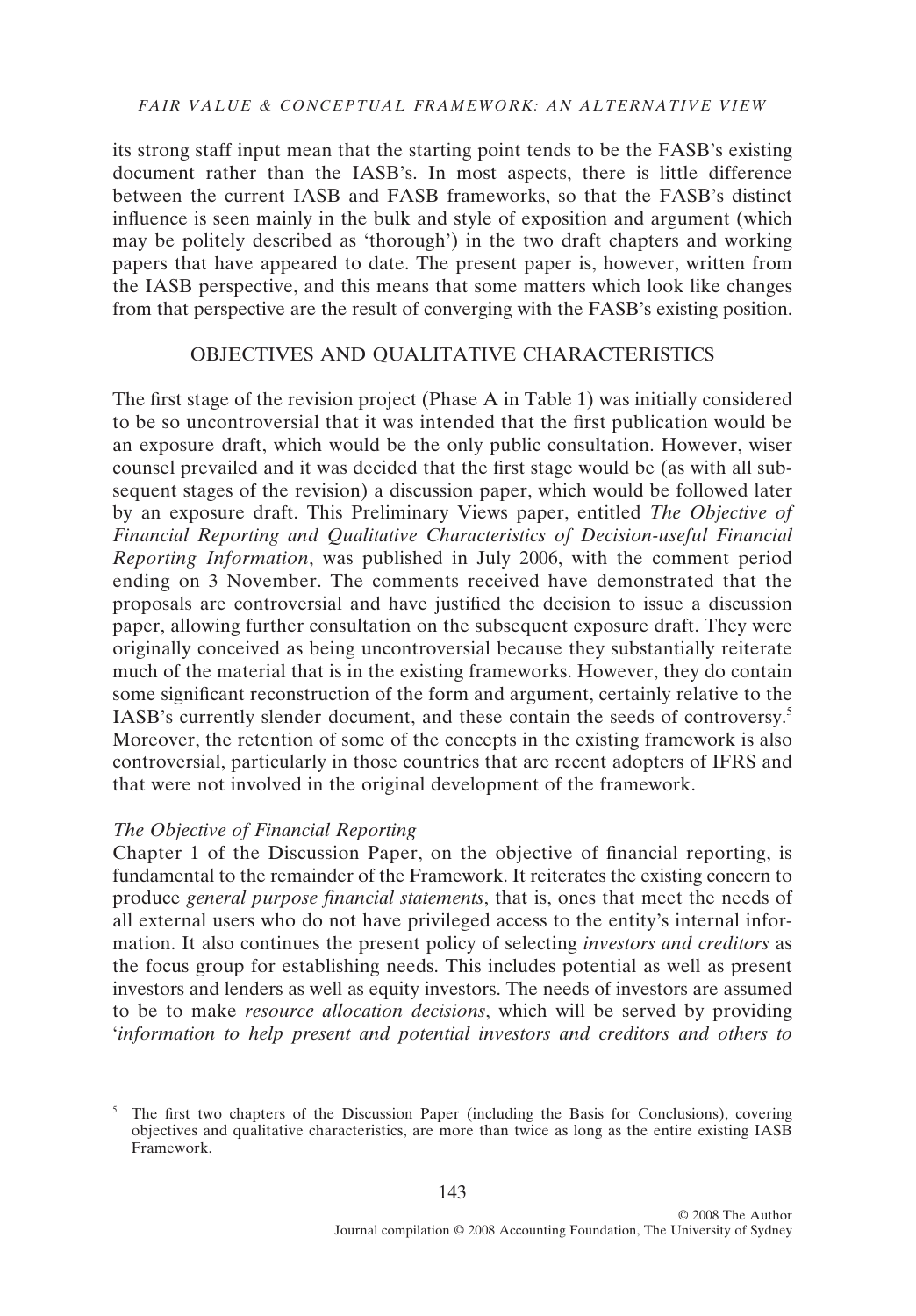#### *FAIR VALUE & CONCEPTUAL FRAMEWORK: AN ALTERNATIVE VIEW*

its strong staff input mean that the starting point tends to be the FASB's existing document rather than the IASB's. In most aspects, there is little difference between the current IASB and FASB frameworks, so that the FASB's distinct influence is seen mainly in the bulk and style of exposition and argument (which may be politely described as 'thorough') in the two draft chapters and working papers that have appeared to date. The present paper is, however, written from the IASB perspective, and this means that some matters which look like changes from that perspective are the result of converging with the FASB's existing position.

# OBJECTIVES AND QUALITATIVE CHARACTERISTICS

The first stage of the revision project (Phase A in Table 1) was initially considered to be so uncontroversial that it was intended that the first publication would be an exposure draft, which would be the only public consultation. However, wiser counsel prevailed and it was decided that the first stage would be (as with all subsequent stages of the revision) a discussion paper, which would be followed later by an exposure draft. This Preliminary Views paper, entitled *The Objective of Financial Reporting and Qualitative Characteristics of Decision-useful Financial Reporting Information*, was published in July 2006, with the comment period ending on 3 November. The comments received have demonstrated that the proposals are controversial and have justified the decision to issue a discussion paper, allowing further consultation on the subsequent exposure draft. They were originally conceived as being uncontroversial because they substantially reiterate much of the material that is in the existing frameworks. However, they do contain some significant reconstruction of the form and argument, certainly relative to the IASB's currently slender document, and these contain the seeds of controversy.5 Moreover, the retention of some of the concepts in the existing framework is also controversial, particularly in those countries that are recent adopters of IFRS and that were not involved in the original development of the framework.

## *The Objective of Financial Reporting*

Chapter 1 of the Discussion Paper, on the objective of financial reporting, is fundamental to the remainder of the Framework. It reiterates the existing concern to produce *general purpose financial statements*, that is, ones that meet the needs of all external users who do not have privileged access to the entity's internal information. It also continues the present policy of selecting *investors and creditors* as the focus group for establishing needs. This includes potential as well as present investors and lenders as well as equity investors. The needs of investors are assumed to be to make *resource allocation decisions*, which will be served by providing '*information to help present and potential investors and creditors and others to*

 $5$  The first two chapters of the Discussion Paper (including the Basis for Conclusions), covering objectives and qualitative characteristics, are more than twice as long as the entire existing IASB Framework.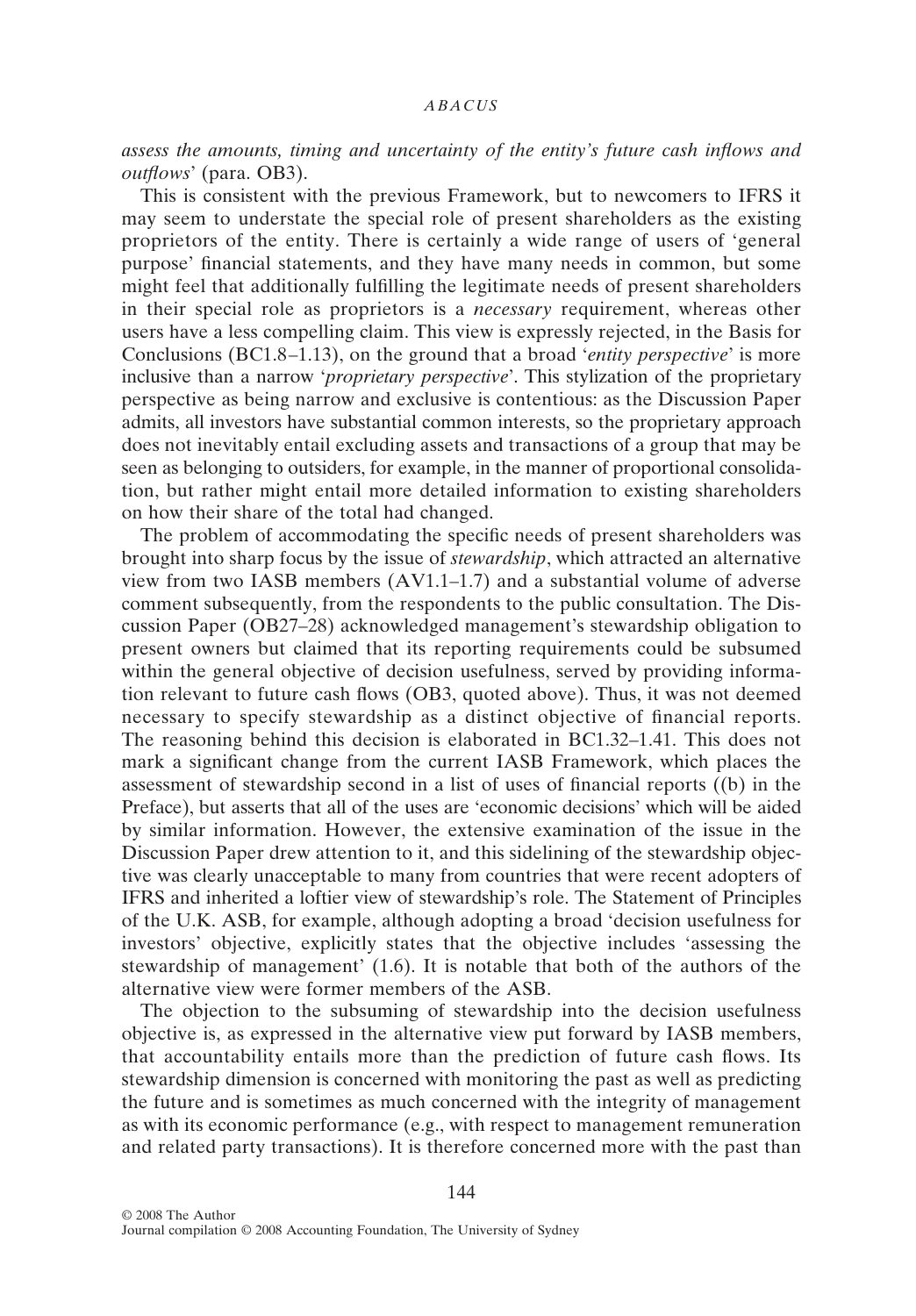*assess the amounts, timing and uncertainty of the entity's future cash inflows and outflows*' (para. OB3).

This is consistent with the previous Framework, but to newcomers to IFRS it may seem to understate the special role of present shareholders as the existing proprietors of the entity. There is certainly a wide range of users of 'general purpose' financial statements, and they have many needs in common, but some might feel that additionally fulfilling the legitimate needs of present shareholders in their special role as proprietors is a *necessary* requirement, whereas other users have a less compelling claim. This view is expressly rejected, in the Basis for Conclusions (BC1.8–1.13), on the ground that a broad '*entity perspective*' is more inclusive than a narrow '*proprietary perspective*'. This stylization of the proprietary perspective as being narrow and exclusive is contentious: as the Discussion Paper admits, all investors have substantial common interests, so the proprietary approach does not inevitably entail excluding assets and transactions of a group that may be seen as belonging to outsiders, for example, in the manner of proportional consolidation, but rather might entail more detailed information to existing shareholders on how their share of the total had changed.

The problem of accommodating the specific needs of present shareholders was brought into sharp focus by the issue of *stewardship*, which attracted an alternative view from two IASB members (AV1.1–1.7) and a substantial volume of adverse comment subsequently, from the respondents to the public consultation. The Discussion Paper (OB27–28) acknowledged management's stewardship obligation to present owners but claimed that its reporting requirements could be subsumed within the general objective of decision usefulness, served by providing information relevant to future cash flows (OB3, quoted above). Thus, it was not deemed necessary to specify stewardship as a distinct objective of financial reports. The reasoning behind this decision is elaborated in BC1.32–1.41. This does not mark a significant change from the current IASB Framework, which places the assessment of stewardship second in a list of uses of financial reports ((b) in the Preface), but asserts that all of the uses are 'economic decisions' which will be aided by similar information. However, the extensive examination of the issue in the Discussion Paper drew attention to it, and this sidelining of the stewardship objective was clearly unacceptable to many from countries that were recent adopters of IFRS and inherited a loftier view of stewardship's role. The Statement of Principles of the U.K. ASB, for example, although adopting a broad 'decision usefulness for investors' objective, explicitly states that the objective includes 'assessing the stewardship of management' (1.6). It is notable that both of the authors of the alternative view were former members of the ASB.

The objection to the subsuming of stewardship into the decision usefulness objective is, as expressed in the alternative view put forward by IASB members, that accountability entails more than the prediction of future cash flows. Its stewardship dimension is concerned with monitoring the past as well as predicting the future and is sometimes as much concerned with the integrity of management as with its economic performance (e.g., with respect to management remuneration and related party transactions). It is therefore concerned more with the past than

144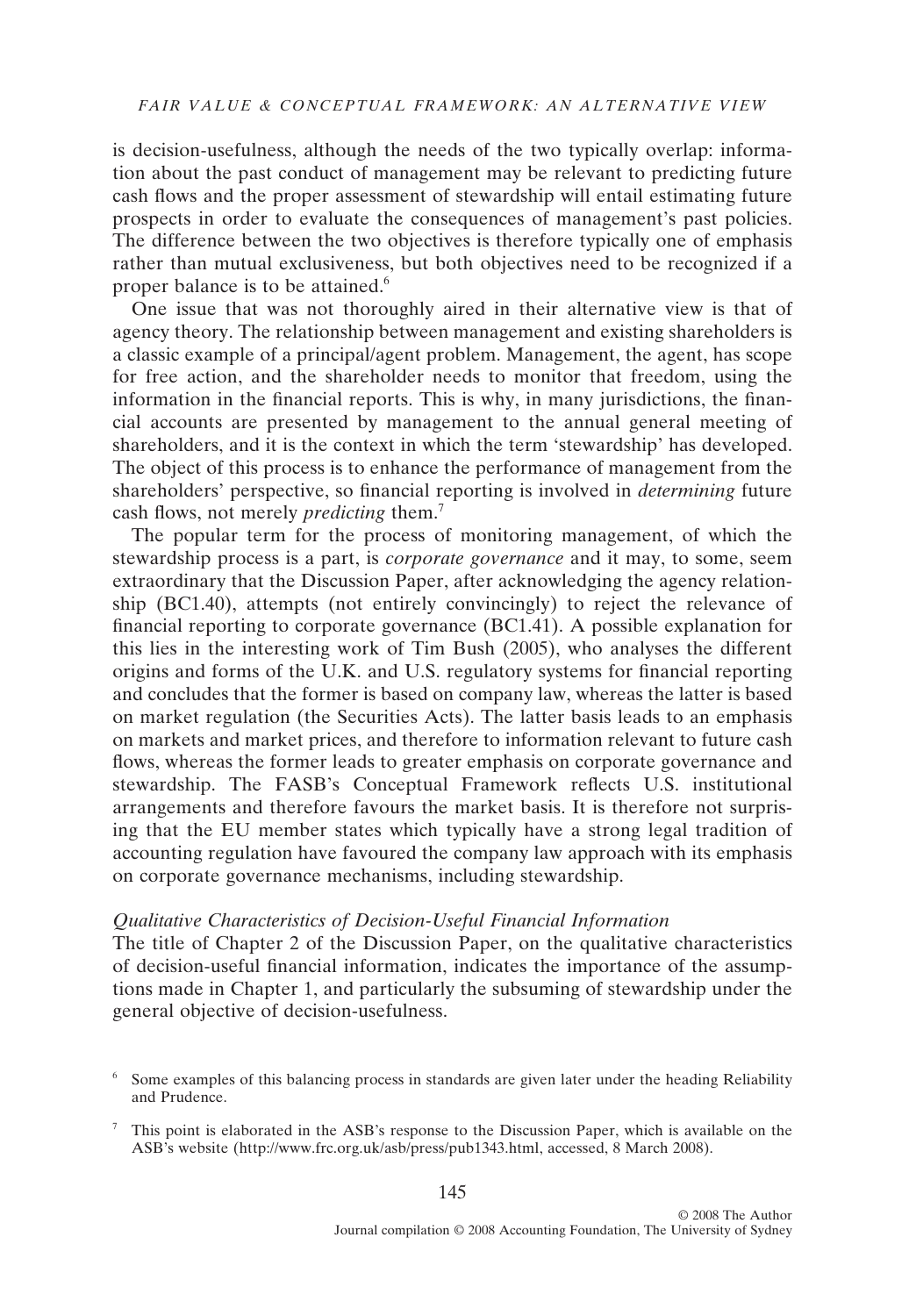is decision-usefulness, although the needs of the two typically overlap: information about the past conduct of management may be relevant to predicting future cash flows and the proper assessment of stewardship will entail estimating future prospects in order to evaluate the consequences of management's past policies. The difference between the two objectives is therefore typically one of emphasis rather than mutual exclusiveness, but both objectives need to be recognized if a proper balance is to be attained.<sup>6</sup>

One issue that was not thoroughly aired in their alternative view is that of agency theory. The relationship between management and existing shareholders is a classic example of a principal/agent problem. Management, the agent, has scope for free action, and the shareholder needs to monitor that freedom, using the information in the financial reports. This is why, in many jurisdictions, the financial accounts are presented by management to the annual general meeting of shareholders, and it is the context in which the term 'stewardship' has developed. The object of this process is to enhance the performance of management from the shareholders' perspective, so financial reporting is involved in *determining* future cash flows, not merely *predicting* them.7

The popular term for the process of monitoring management, of which the stewardship process is a part, is *corporate governance* and it may, to some, seem extraordinary that the Discussion Paper, after acknowledging the agency relationship (BC1.40), attempts (not entirely convincingly) to reject the relevance of financial reporting to corporate governance (BC1.41). A possible explanation for this lies in the interesting work of Tim Bush (2005), who analyses the different origins and forms of the U.K. and U.S. regulatory systems for financial reporting and concludes that the former is based on company law, whereas the latter is based on market regulation (the Securities Acts). The latter basis leads to an emphasis on markets and market prices, and therefore to information relevant to future cash flows, whereas the former leads to greater emphasis on corporate governance and stewardship. The FASB's Conceptual Framework reflects U.S. institutional arrangements and therefore favours the market basis. It is therefore not surprising that the EU member states which typically have a strong legal tradition of accounting regulation have favoured the company law approach with its emphasis on corporate governance mechanisms, including stewardship.

### *Qualitative Characteristics of Decision-Useful Financial Information*

The title of Chapter 2 of the Discussion Paper, on the qualitative characteristics of decision-useful financial information, indicates the importance of the assumptions made in Chapter 1, and particularly the subsuming of stewardship under the general objective of decision-usefulness.

<sup>6</sup> Some examples of this balancing process in standards are given later under the heading Reliability and Prudence.

<sup>7</sup> This point is elaborated in the ASB's response to the Discussion Paper, which is available on the ASB's website (http://www.frc.org.uk/asb/press/pub1343.html, accessed, 8 March 2008).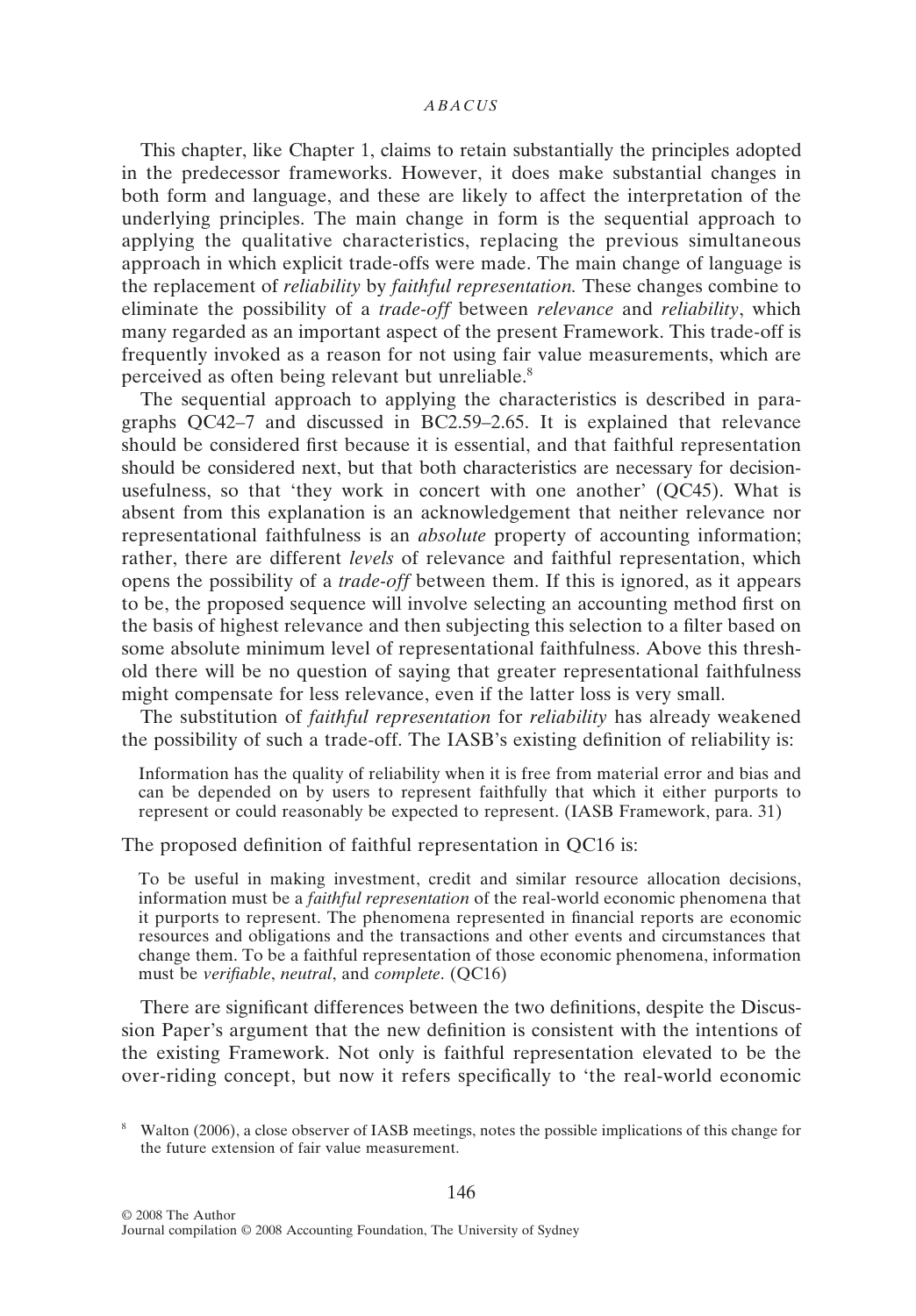This chapter, like Chapter 1, claims to retain substantially the principles adopted in the predecessor frameworks. However, it does make substantial changes in both form and language, and these are likely to affect the interpretation of the underlying principles. The main change in form is the sequential approach to applying the qualitative characteristics, replacing the previous simultaneous approach in which explicit trade-offs were made. The main change of language is the replacement of *reliability* by *faithful representation.* These changes combine to eliminate the possibility of a *trade-off* between *relevance* and *reliability*, which many regarded as an important aspect of the present Framework. This trade-off is frequently invoked as a reason for not using fair value measurements, which are perceived as often being relevant but unreliable.<sup>8</sup>

The sequential approach to applying the characteristics is described in paragraphs QC42–7 and discussed in BC2.59–2.65. It is explained that relevance should be considered first because it is essential, and that faithful representation should be considered next, but that both characteristics are necessary for decisionusefulness, so that 'they work in concert with one another' (QC45). What is absent from this explanation is an acknowledgement that neither relevance nor representational faithfulness is an *absolute* property of accounting information; rather, there are different *levels* of relevance and faithful representation, which opens the possibility of a *trade-off* between them. If this is ignored, as it appears to be, the proposed sequence will involve selecting an accounting method first on the basis of highest relevance and then subjecting this selection to a filter based on some absolute minimum level of representational faithfulness. Above this threshold there will be no question of saying that greater representational faithfulness might compensate for less relevance, even if the latter loss is very small.

The substitution of *faithful representation* for *reliability* has already weakened the possibility of such a trade-off. The IASB's existing definition of reliability is:

Information has the quality of reliability when it is free from material error and bias and can be depended on by users to represent faithfully that which it either purports to represent or could reasonably be expected to represent. (IASB Framework, para. 31)

The proposed definition of faithful representation in QC16 is:

To be useful in making investment, credit and similar resource allocation decisions, information must be a *faithful representation* of the real-world economic phenomena that it purports to represent. The phenomena represented in financial reports are economic resources and obligations and the transactions and other events and circumstances that change them. To be a faithful representation of those economic phenomena, information must be *verifiable*, *neutral*, and *complete*. (QC16)

There are significant differences between the two definitions, despite the Discussion Paper's argument that the new definition is consistent with the intentions of the existing Framework. Not only is faithful representation elevated to be the over-riding concept, but now it refers specifically to 'the real-world economic

Walton (2006), a close observer of IASB meetings, notes the possible implications of this change for the future extension of fair value measurement.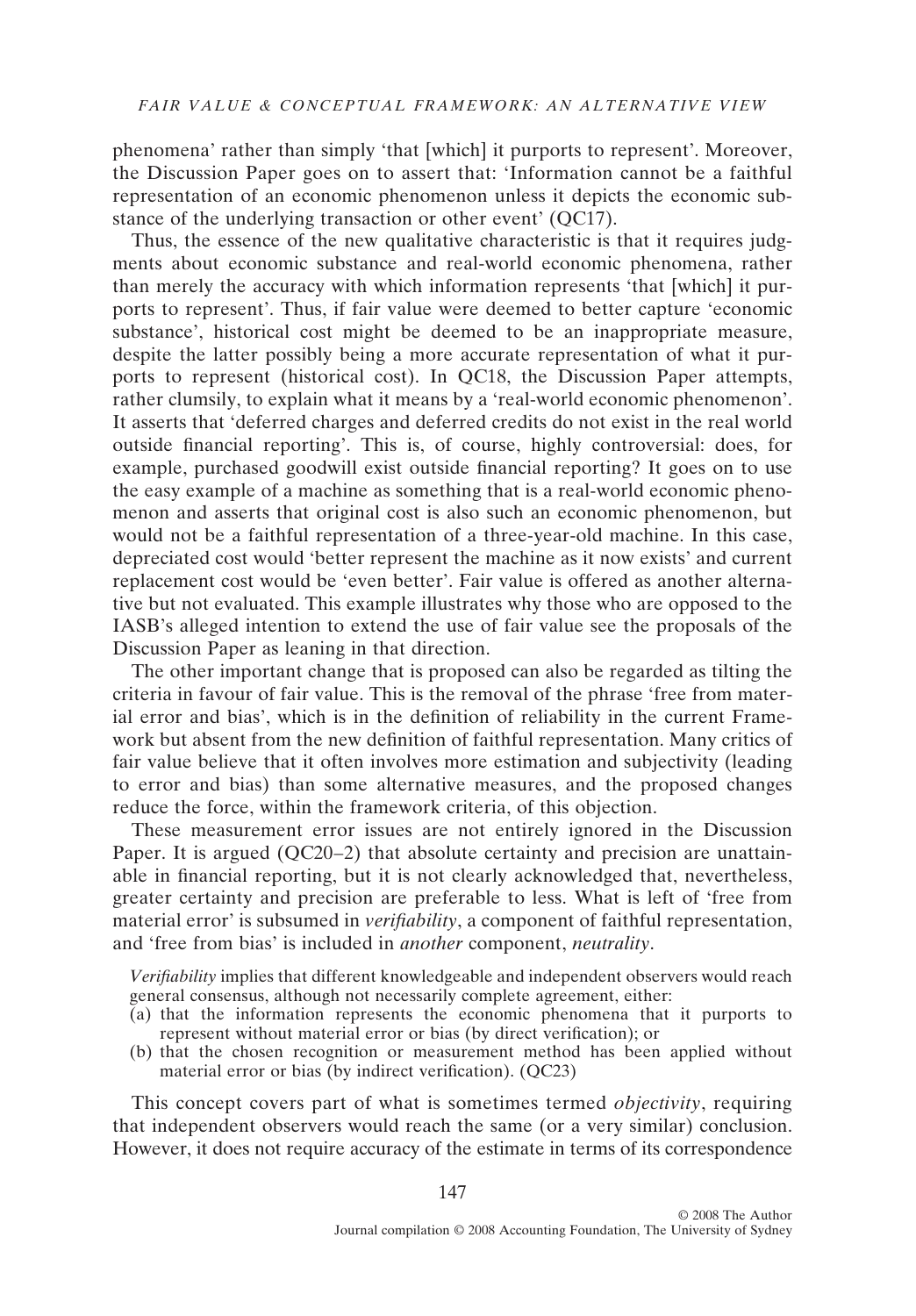phenomena' rather than simply 'that [which] it purports to represent'. Moreover, the Discussion Paper goes on to assert that: 'Information cannot be a faithful representation of an economic phenomenon unless it depicts the economic substance of the underlying transaction or other event' (QC17).

Thus, the essence of the new qualitative characteristic is that it requires judgments about economic substance and real-world economic phenomena, rather than merely the accuracy with which information represents 'that [which] it purports to represent'. Thus, if fair value were deemed to better capture 'economic substance', historical cost might be deemed to be an inappropriate measure, despite the latter possibly being a more accurate representation of what it purports to represent (historical cost). In QC18, the Discussion Paper attempts, rather clumsily, to explain what it means by a 'real-world economic phenomenon'. It asserts that 'deferred charges and deferred credits do not exist in the real world outside financial reporting'. This is, of course, highly controversial: does, for example, purchased goodwill exist outside financial reporting? It goes on to use the easy example of a machine as something that is a real-world economic phenomenon and asserts that original cost is also such an economic phenomenon, but would not be a faithful representation of a three-year-old machine. In this case, depreciated cost would 'better represent the machine as it now exists' and current replacement cost would be 'even better'. Fair value is offered as another alternative but not evaluated. This example illustrates why those who are opposed to the IASB's alleged intention to extend the use of fair value see the proposals of the Discussion Paper as leaning in that direction.

The other important change that is proposed can also be regarded as tilting the criteria in favour of fair value. This is the removal of the phrase 'free from material error and bias', which is in the definition of reliability in the current Framework but absent from the new definition of faithful representation. Many critics of fair value believe that it often involves more estimation and subjectivity (leading to error and bias) than some alternative measures, and the proposed changes reduce the force, within the framework criteria, of this objection.

These measurement error issues are not entirely ignored in the Discussion Paper. It is argued (QC20–2) that absolute certainty and precision are unattainable in financial reporting, but it is not clearly acknowledged that, nevertheless, greater certainty and precision are preferable to less. What is left of 'free from material error' is subsumed in *verifiability*, a component of faithful representation, and 'free from bias' is included in *another* component, *neutrality*.

*Verifiability* implies that different knowledgeable and independent observers would reach general consensus, although not necessarily complete agreement, either:

- (a) that the information represents the economic phenomena that it purports to represent without material error or bias (by direct verification); or
- (b) that the chosen recognition or measurement method has been applied without material error or bias (by indirect verification). (QC23)

This concept covers part of what is sometimes termed *objectivity*, requiring that independent observers would reach the same (or a very similar) conclusion. However, it does not require accuracy of the estimate in terms of its correspondence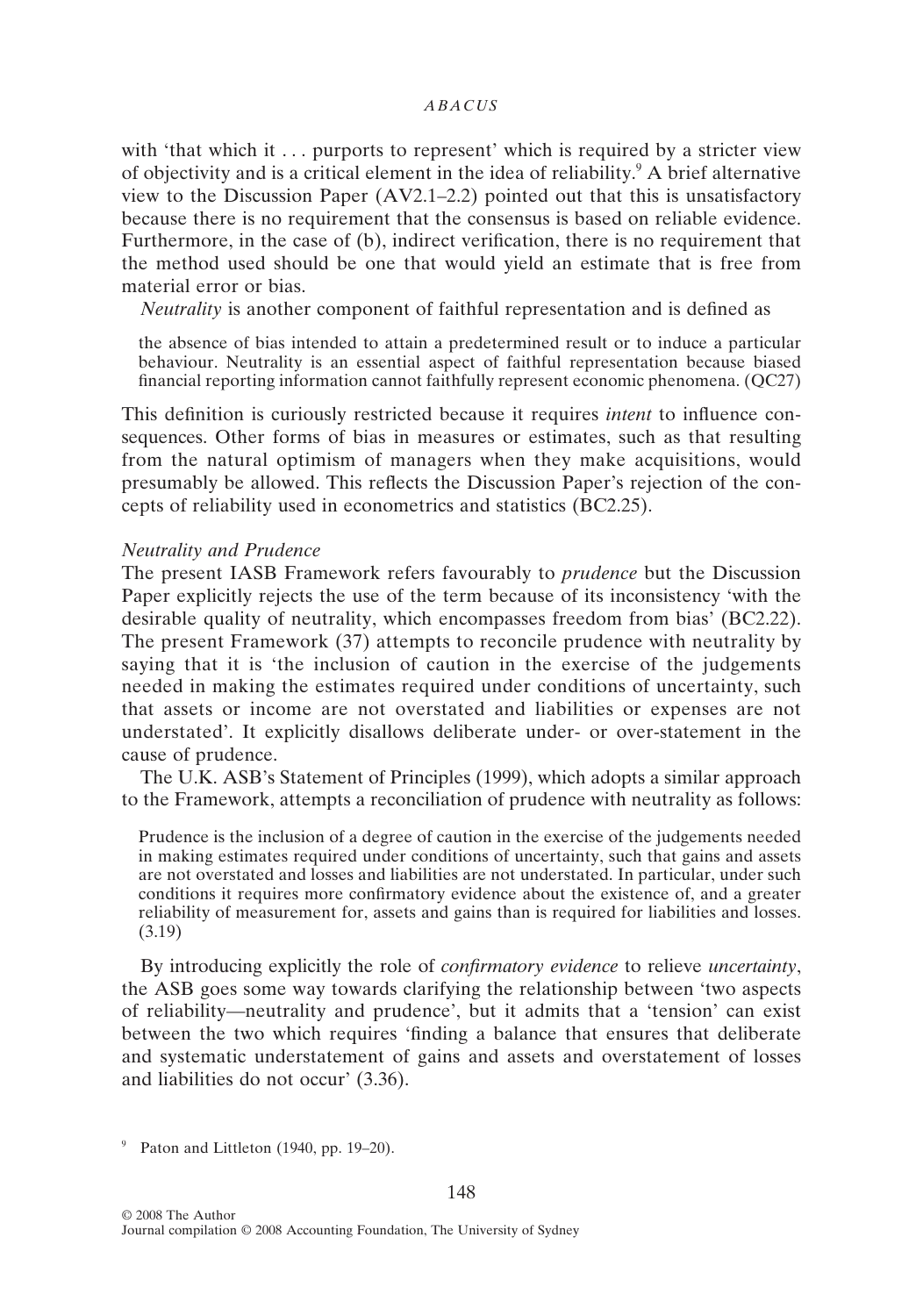with 'that which it ... purports to represent' which is required by a stricter view of objectivity and is a critical element in the idea of reliability.<sup>9</sup> A brief alternative view to the Discussion Paper (AV2.1–2.2) pointed out that this is unsatisfactory because there is no requirement that the consensus is based on reliable evidence. Furthermore, in the case of (b), indirect verification, there is no requirement that the method used should be one that would yield an estimate that is free from material error or bias.

*Neutrality* is another component of faithful representation and is defined as

the absence of bias intended to attain a predetermined result or to induce a particular behaviour. Neutrality is an essential aspect of faithful representation because biased financial reporting information cannot faithfully represent economic phenomena. (QC27)

This definition is curiously restricted because it requires *intent* to influence consequences. Other forms of bias in measures or estimates, such as that resulting from the natural optimism of managers when they make acquisitions, would presumably be allowed. This reflects the Discussion Paper's rejection of the concepts of reliability used in econometrics and statistics (BC2.25).

# *Neutrality and Prudence*

The present IASB Framework refers favourably to *prudence* but the Discussion Paper explicitly rejects the use of the term because of its inconsistency 'with the desirable quality of neutrality, which encompasses freedom from bias' (BC2.22). The present Framework (37) attempts to reconcile prudence with neutrality by saying that it is 'the inclusion of caution in the exercise of the judgements needed in making the estimates required under conditions of uncertainty, such that assets or income are not overstated and liabilities or expenses are not understated'. It explicitly disallows deliberate under- or over-statement in the cause of prudence.

The U.K. ASB's Statement of Principles (1999), which adopts a similar approach to the Framework, attempts a reconciliation of prudence with neutrality as follows:

Prudence is the inclusion of a degree of caution in the exercise of the judgements needed in making estimates required under conditions of uncertainty, such that gains and assets are not overstated and losses and liabilities are not understated. In particular, under such conditions it requires more confirmatory evidence about the existence of, and a greater reliability of measurement for, assets and gains than is required for liabilities and losses. (3.19)

By introducing explicitly the role of *confirmatory evidence* to relieve *uncertainty*, the ASB goes some way towards clarifying the relationship between 'two aspects of reliability—neutrality and prudence', but it admits that a 'tension' can exist between the two which requires 'finding a balance that ensures that deliberate and systematic understatement of gains and assets and overstatement of losses and liabilities do not occur' (3.36).

 $9$  Paton and Littleton (1940, pp. 19–20).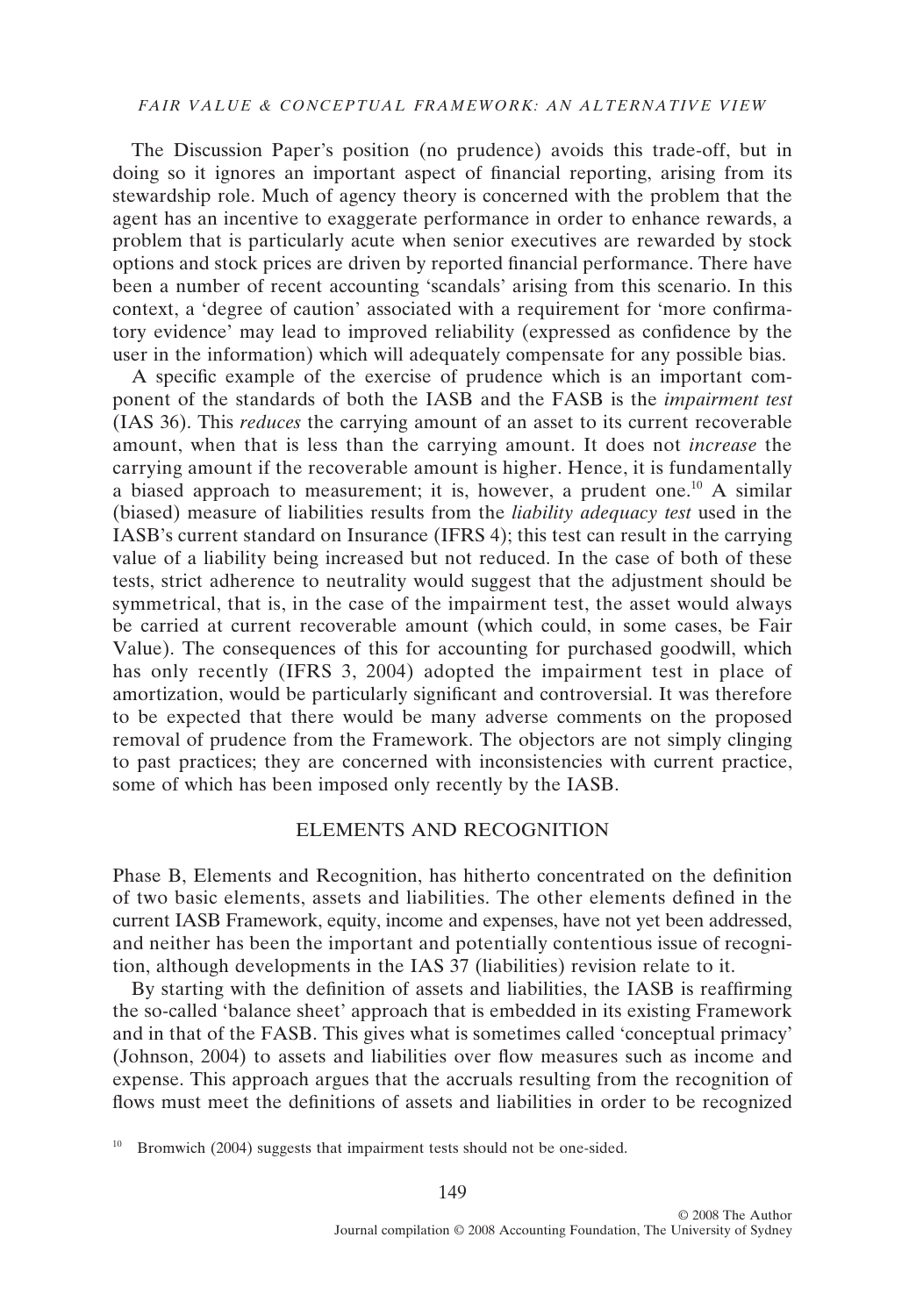## *FAIR VALUE & CONCEPTUAL FRAMEWORK: AN ALTERNATIVE VIEW*

The Discussion Paper's position (no prudence) avoids this trade-off, but in doing so it ignores an important aspect of financial reporting, arising from its stewardship role. Much of agency theory is concerned with the problem that the agent has an incentive to exaggerate performance in order to enhance rewards, a problem that is particularly acute when senior executives are rewarded by stock options and stock prices are driven by reported financial performance. There have been a number of recent accounting 'scandals' arising from this scenario. In this context, a 'degree of caution' associated with a requirement for 'more confirmatory evidence' may lead to improved reliability (expressed as confidence by the user in the information) which will adequately compensate for any possible bias.

A specific example of the exercise of prudence which is an important component of the standards of both the IASB and the FASB is the *impairment test* (IAS 36). This *reduces* the carrying amount of an asset to its current recoverable amount, when that is less than the carrying amount. It does not *increase* the carrying amount if the recoverable amount is higher. Hence, it is fundamentally a biased approach to measurement; it is, however, a prudent one.<sup>10</sup> A similar (biased) measure of liabilities results from the *liability adequacy test* used in the IASB's current standard on Insurance (IFRS 4); this test can result in the carrying value of a liability being increased but not reduced. In the case of both of these tests, strict adherence to neutrality would suggest that the adjustment should be symmetrical, that is, in the case of the impairment test, the asset would always be carried at current recoverable amount (which could, in some cases, be Fair Value). The consequences of this for accounting for purchased goodwill, which has only recently (IFRS 3, 2004) adopted the impairment test in place of amortization, would be particularly significant and controversial. It was therefore to be expected that there would be many adverse comments on the proposed removal of prudence from the Framework. The objectors are not simply clinging to past practices; they are concerned with inconsistencies with current practice, some of which has been imposed only recently by the IASB.

## ELEMENTS AND RECOGNITION

Phase B, Elements and Recognition, has hitherto concentrated on the definition of two basic elements, assets and liabilities. The other elements defined in the current IASB Framework, equity, income and expenses, have not yet been addressed, and neither has been the important and potentially contentious issue of recognition, although developments in the IAS 37 (liabilities) revision relate to it.

By starting with the definition of assets and liabilities, the IASB is reaffirming the so-called 'balance sheet' approach that is embedded in its existing Framework and in that of the FASB. This gives what is sometimes called 'conceptual primacy' (Johnson, 2004) to assets and liabilities over flow measures such as income and expense. This approach argues that the accruals resulting from the recognition of flows must meet the definitions of assets and liabilities in order to be recognized

<sup>&</sup>lt;sup>10</sup> Bromwich (2004) suggests that impairment tests should not be one-sided.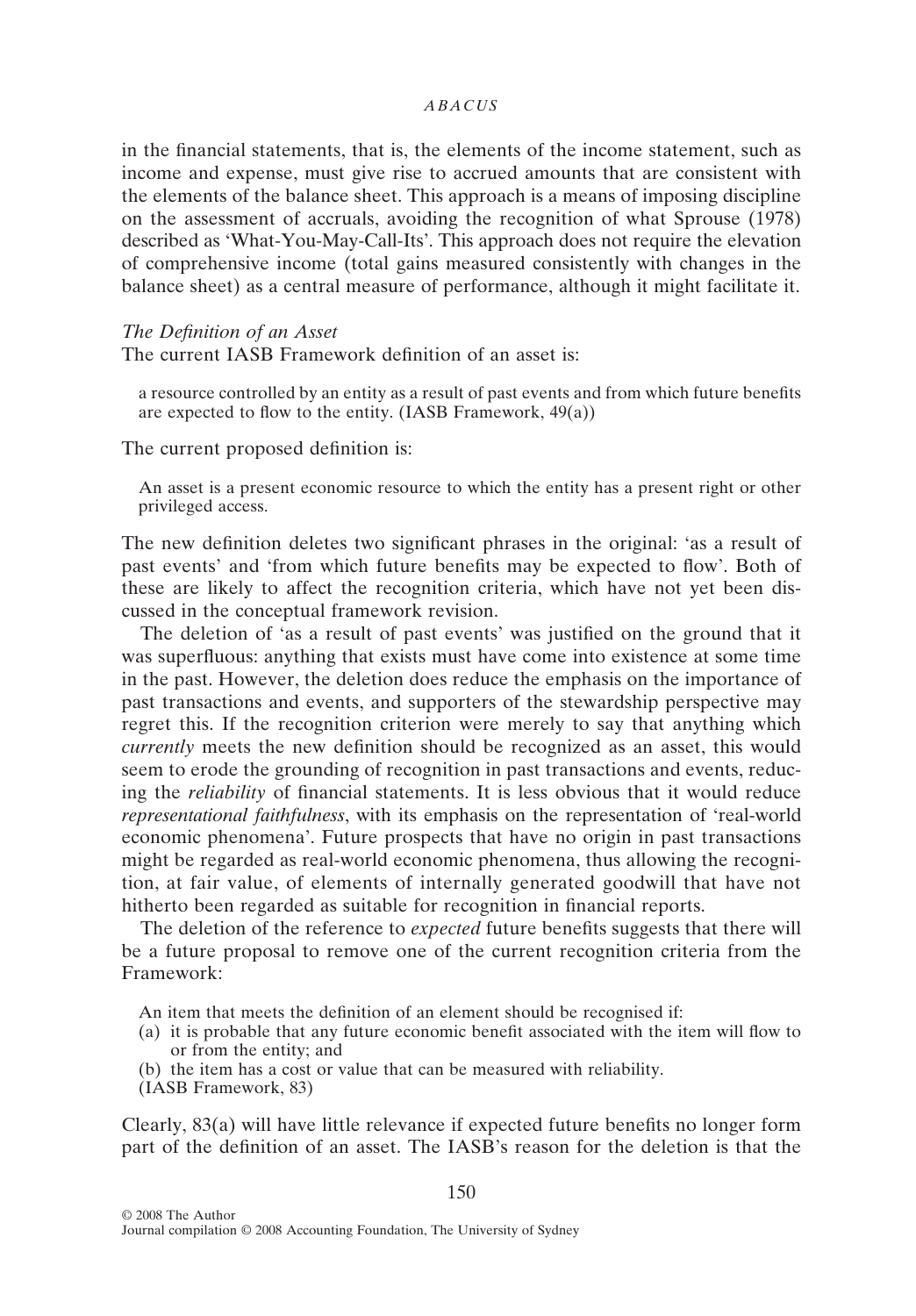in the financial statements, that is, the elements of the income statement, such as income and expense, must give rise to accrued amounts that are consistent with the elements of the balance sheet. This approach is a means of imposing discipline on the assessment of accruals, avoiding the recognition of what Sprouse (1978) described as 'What-You-May-Call-Its'. This approach does not require the elevation of comprehensive income (total gains measured consistently with changes in the balance sheet) as a central measure of performance, although it might facilitate it.

## *The Definition of an Asset*

The current IASB Framework definition of an asset is:

a resource controlled by an entity as a result of past events and from which future benefits are expected to flow to the entity.  $(IASB\, Framework, 49(a))$ 

The current proposed definition is:

An asset is a present economic resource to which the entity has a present right or other privileged access.

The new definition deletes two significant phrases in the original: 'as a result of past events' and 'from which future benefits may be expected to flow'. Both of these are likely to affect the recognition criteria, which have not yet been discussed in the conceptual framework revision.

The deletion of 'as a result of past events' was justified on the ground that it was superfluous: anything that exists must have come into existence at some time in the past. However, the deletion does reduce the emphasis on the importance of past transactions and events, and supporters of the stewardship perspective may regret this. If the recognition criterion were merely to say that anything which *currently* meets the new definition should be recognized as an asset, this would seem to erode the grounding of recognition in past transactions and events, reducing the *reliability* of financial statements. It is less obvious that it would reduce *representational faithfulness*, with its emphasis on the representation of 'real-world economic phenomena'. Future prospects that have no origin in past transactions might be regarded as real-world economic phenomena, thus allowing the recognition, at fair value, of elements of internally generated goodwill that have not hitherto been regarded as suitable for recognition in financial reports.

The deletion of the reference to *expected* future benefits suggests that there will be a future proposal to remove one of the current recognition criteria from the Framework:

An item that meets the definition of an element should be recognised if:

- (a) it is probable that any future economic benefit associated with the item will flow to or from the entity; and
- (b) the item has a cost or value that can be measured with reliability.
- (IASB Framework, 83)

Clearly, 83(a) will have little relevance if expected future benefits no longer form part of the definition of an asset. The IASB's reason for the deletion is that the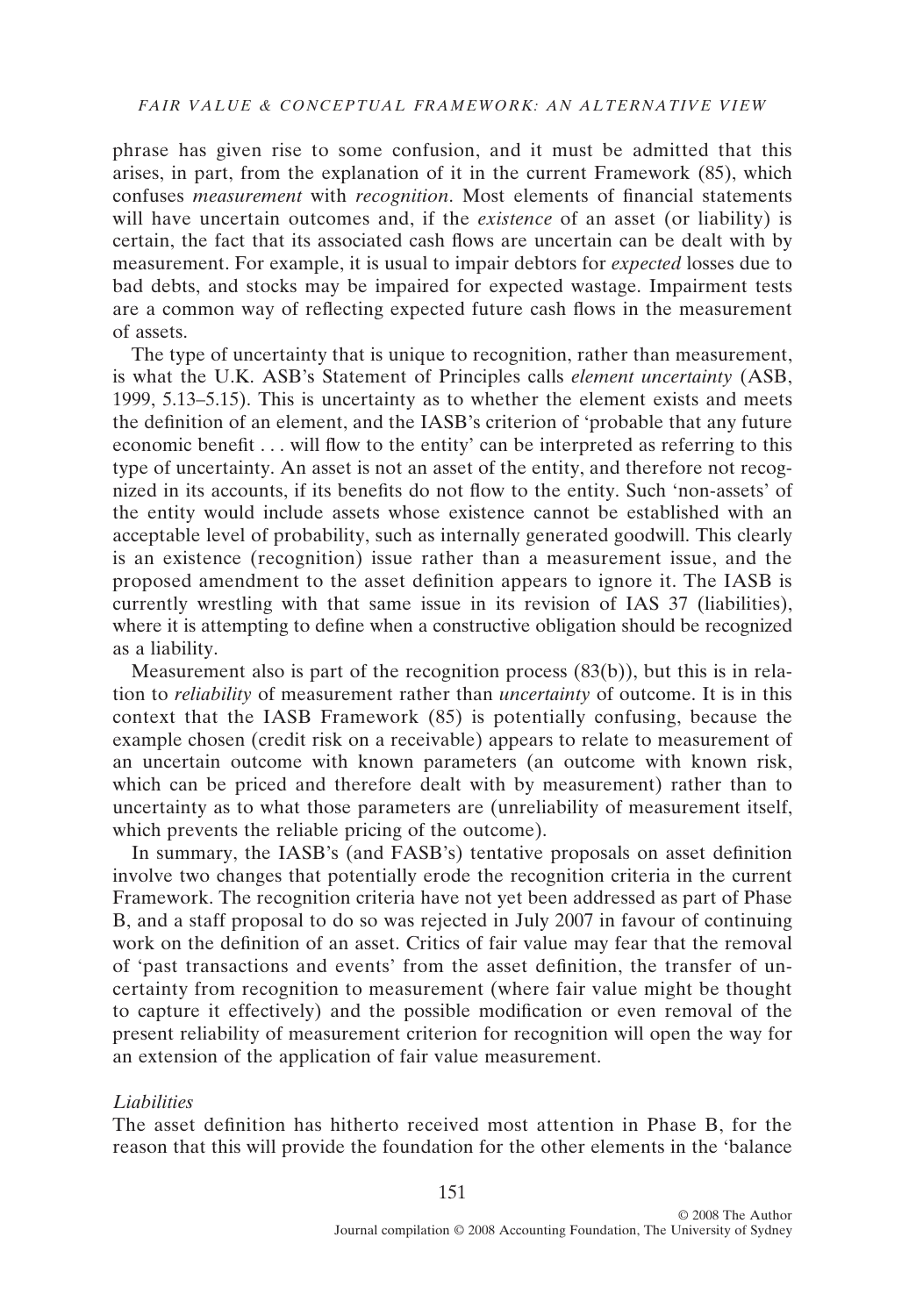phrase has given rise to some confusion, and it must be admitted that this arises, in part, from the explanation of it in the current Framework (85), which confuses *measurement* with *recognition*. Most elements of financial statements will have uncertain outcomes and, if the *existence* of an asset (or liability) is certain, the fact that its associated cash flows are uncertain can be dealt with by measurement. For example, it is usual to impair debtors for *expected* losses due to bad debts, and stocks may be impaired for expected wastage. Impairment tests are a common way of reflecting expected future cash flows in the measurement of assets.

The type of uncertainty that is unique to recognition, rather than measurement, is what the U.K. ASB's Statement of Principles calls *element uncertainty* (ASB, 1999, 5.13–5.15). This is uncertainty as to whether the element exists and meets the definition of an element, and the IASB's criterion of 'probable that any future economic benefit . . . will flow to the entity' can be interpreted as referring to this type of uncertainty. An asset is not an asset of the entity, and therefore not recognized in its accounts, if its benefits do not flow to the entity. Such 'non-assets' of the entity would include assets whose existence cannot be established with an acceptable level of probability, such as internally generated goodwill. This clearly is an existence (recognition) issue rather than a measurement issue, and the proposed amendment to the asset definition appears to ignore it. The IASB is currently wrestling with that same issue in its revision of IAS 37 (liabilities), where it is attempting to define when a constructive obligation should be recognized as a liability.

Measurement also is part of the recognition process  $(83(b))$ , but this is in relation to *reliability* of measurement rather than *uncertainty* of outcome. It is in this context that the IASB Framework (85) is potentially confusing, because the example chosen (credit risk on a receivable) appears to relate to measurement of an uncertain outcome with known parameters (an outcome with known risk, which can be priced and therefore dealt with by measurement) rather than to uncertainty as to what those parameters are (unreliability of measurement itself, which prevents the reliable pricing of the outcome).

In summary, the IASB's (and FASB's) tentative proposals on asset definition involve two changes that potentially erode the recognition criteria in the current Framework. The recognition criteria have not yet been addressed as part of Phase B, and a staff proposal to do so was rejected in July 2007 in favour of continuing work on the definition of an asset. Critics of fair value may fear that the removal of 'past transactions and events' from the asset definition, the transfer of uncertainty from recognition to measurement (where fair value might be thought to capture it effectively) and the possible modification or even removal of the present reliability of measurement criterion for recognition will open the way for an extension of the application of fair value measurement.

### *Liabilities*

The asset definition has hitherto received most attention in Phase B, for the reason that this will provide the foundation for the other elements in the 'balance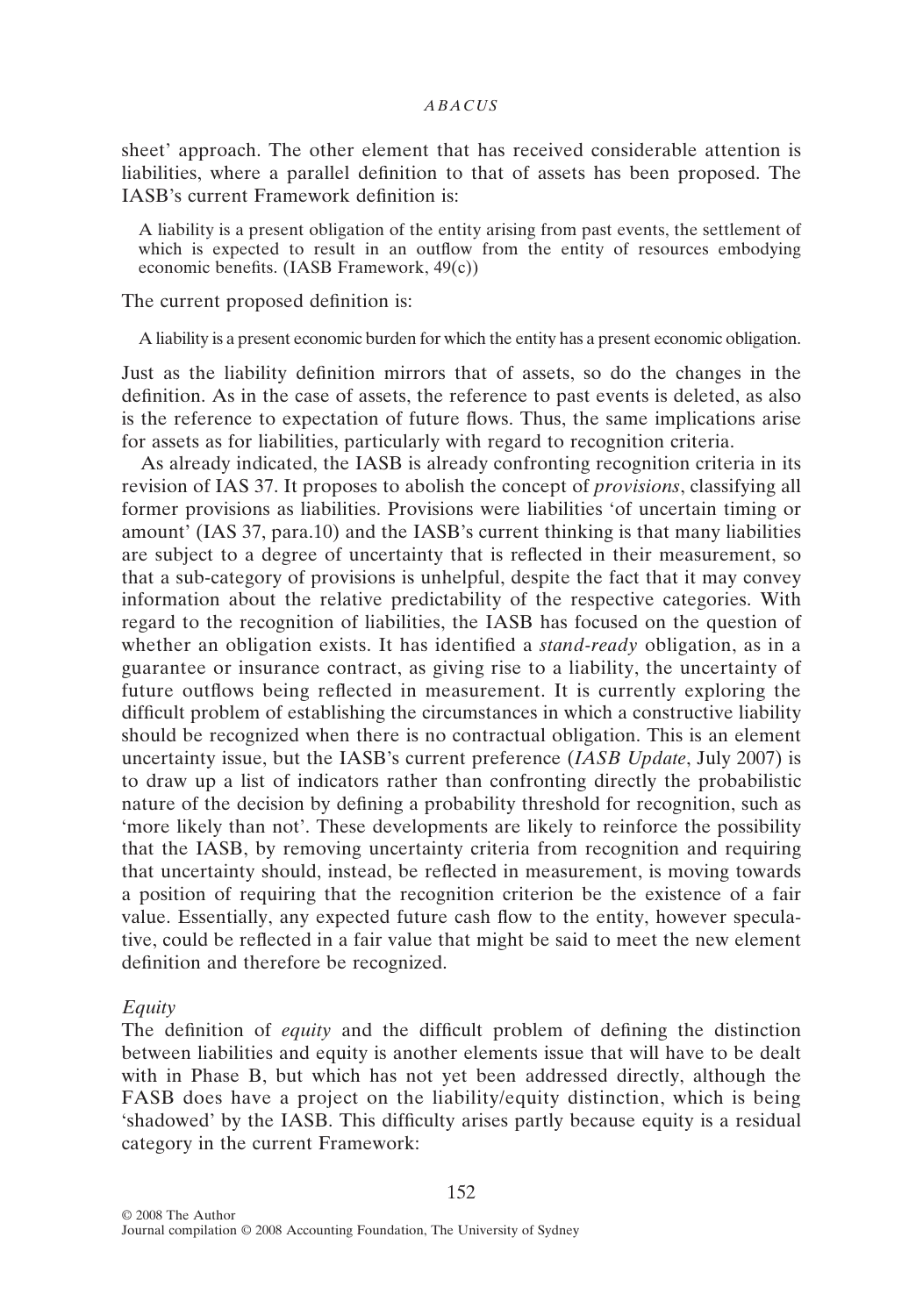sheet' approach. The other element that has received considerable attention is liabilities, where a parallel definition to that of assets has been proposed. The IASB's current Framework definition is:

A liability is a present obligation of the entity arising from past events, the settlement of which is expected to result in an outflow from the entity of resources embodying economic benefits. (IASB Framework, 49(c))

The current proposed definition is:

A liability is a present economic burden for which the entity has a present economic obligation.

Just as the liability definition mirrors that of assets, so do the changes in the definition. As in the case of assets, the reference to past events is deleted, as also is the reference to expectation of future flows. Thus, the same implications arise for assets as for liabilities, particularly with regard to recognition criteria.

As already indicated, the IASB is already confronting recognition criteria in its revision of IAS 37. It proposes to abolish the concept of *provisions*, classifying all former provisions as liabilities. Provisions were liabilities 'of uncertain timing or amount' (IAS 37, para.10) and the IASB's current thinking is that many liabilities are subject to a degree of uncertainty that is reflected in their measurement, so that a sub-category of provisions is unhelpful, despite the fact that it may convey information about the relative predictability of the respective categories. With regard to the recognition of liabilities, the IASB has focused on the question of whether an obligation exists. It has identified a *stand-ready* obligation, as in a guarantee or insurance contract, as giving rise to a liability, the uncertainty of future outflows being reflected in measurement. It is currently exploring the difficult problem of establishing the circumstances in which a constructive liability should be recognized when there is no contractual obligation. This is an element uncertainty issue, but the IASB's current preference (*IASB Update*, July 2007) is to draw up a list of indicators rather than confronting directly the probabilistic nature of the decision by defining a probability threshold for recognition, such as 'more likely than not'. These developments are likely to reinforce the possibility that the IASB, by removing uncertainty criteria from recognition and requiring that uncertainty should, instead, be reflected in measurement, is moving towards a position of requiring that the recognition criterion be the existence of a fair value. Essentially, any expected future cash flow to the entity, however speculative, could be reflected in a fair value that might be said to meet the new element definition and therefore be recognized.

#### *Equity*

The definition of *equity* and the difficult problem of defining the distinction between liabilities and equity is another elements issue that will have to be dealt with in Phase B, but which has not yet been addressed directly, although the FASB does have a project on the liability/equity distinction, which is being 'shadowed' by the IASB. This difficulty arises partly because equity is a residual category in the current Framework: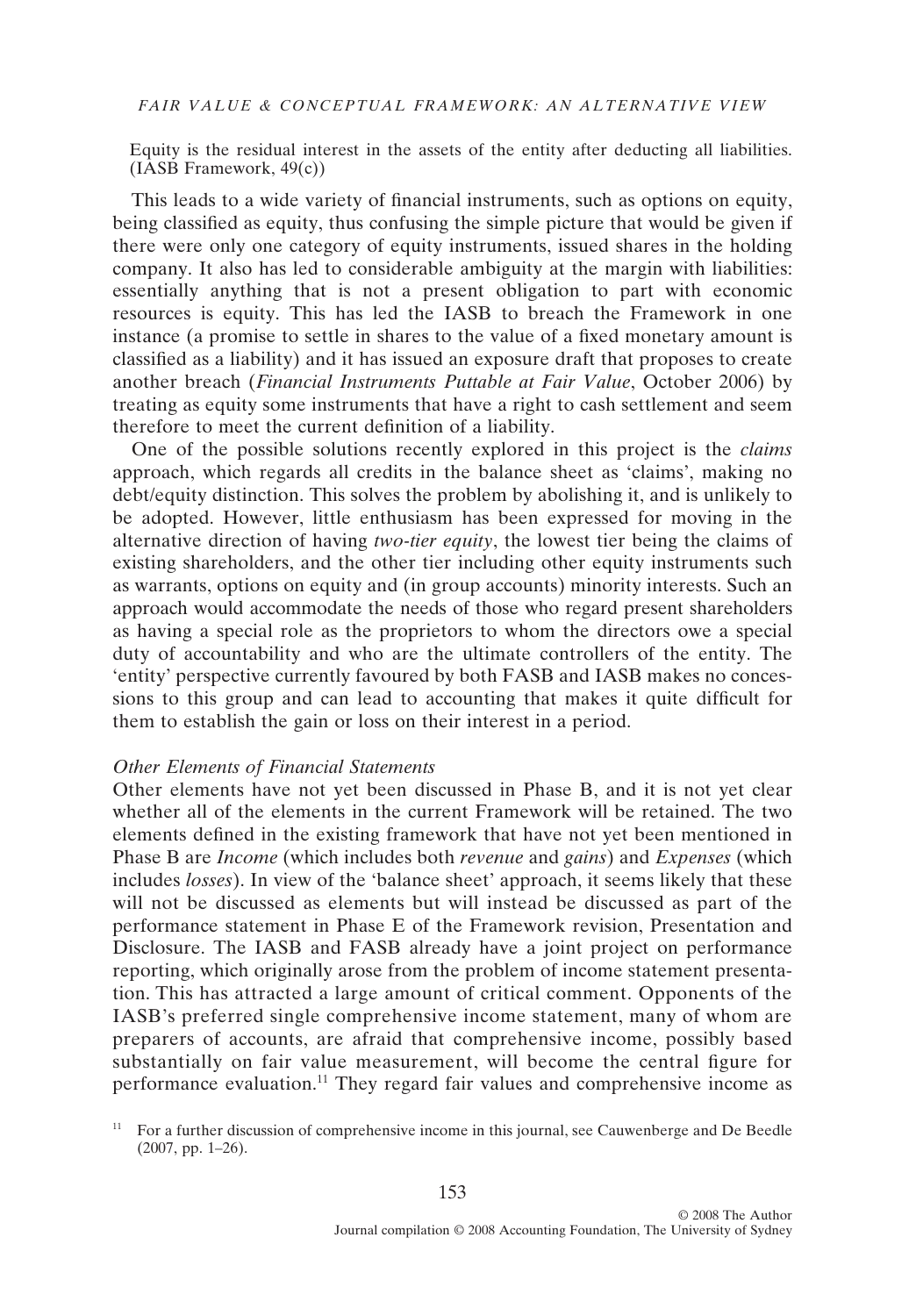Equity is the residual interest in the assets of the entity after deducting all liabilities.  $(IASB$  Framework,  $49(c)$ )

This leads to a wide variety of financial instruments, such as options on equity, being classified as equity, thus confusing the simple picture that would be given if there were only one category of equity instruments, issued shares in the holding company. It also has led to considerable ambiguity at the margin with liabilities: essentially anything that is not a present obligation to part with economic resources is equity. This has led the IASB to breach the Framework in one instance (a promise to settle in shares to the value of a fixed monetary amount is classified as a liability) and it has issued an exposure draft that proposes to create another breach (*Financial Instruments Puttable at Fair Value*, October 2006) by treating as equity some instruments that have a right to cash settlement and seem therefore to meet the current definition of a liability.

One of the possible solutions recently explored in this project is the *claims* approach, which regards all credits in the balance sheet as 'claims', making no debt/equity distinction. This solves the problem by abolishing it, and is unlikely to be adopted. However, little enthusiasm has been expressed for moving in the alternative direction of having *two-tier equity*, the lowest tier being the claims of existing shareholders, and the other tier including other equity instruments such as warrants, options on equity and (in group accounts) minority interests. Such an approach would accommodate the needs of those who regard present shareholders as having a special role as the proprietors to whom the directors owe a special duty of accountability and who are the ultimate controllers of the entity. The 'entity' perspective currently favoured by both FASB and IASB makes no concessions to this group and can lead to accounting that makes it quite difficult for them to establish the gain or loss on their interest in a period.

### *Other Elements of Financial Statements*

Other elements have not yet been discussed in Phase B, and it is not yet clear whether all of the elements in the current Framework will be retained. The two elements defined in the existing framework that have not yet been mentioned in Phase B are *Income* (which includes both *revenue* and *gains*) and *Expenses* (which includes *losses*). In view of the 'balance sheet' approach, it seems likely that these will not be discussed as elements but will instead be discussed as part of the performance statement in Phase E of the Framework revision, Presentation and Disclosure. The IASB and FASB already have a joint project on performance reporting, which originally arose from the problem of income statement presentation. This has attracted a large amount of critical comment. Opponents of the IASB's preferred single comprehensive income statement, many of whom are preparers of accounts, are afraid that comprehensive income, possibly based substantially on fair value measurement, will become the central figure for performance evaluation.11 They regard fair values and comprehensive income as

<sup>&</sup>lt;sup>11</sup> For a further discussion of comprehensive income in this journal, see Cauwenberge and De Beedle (2007, pp. 1–26).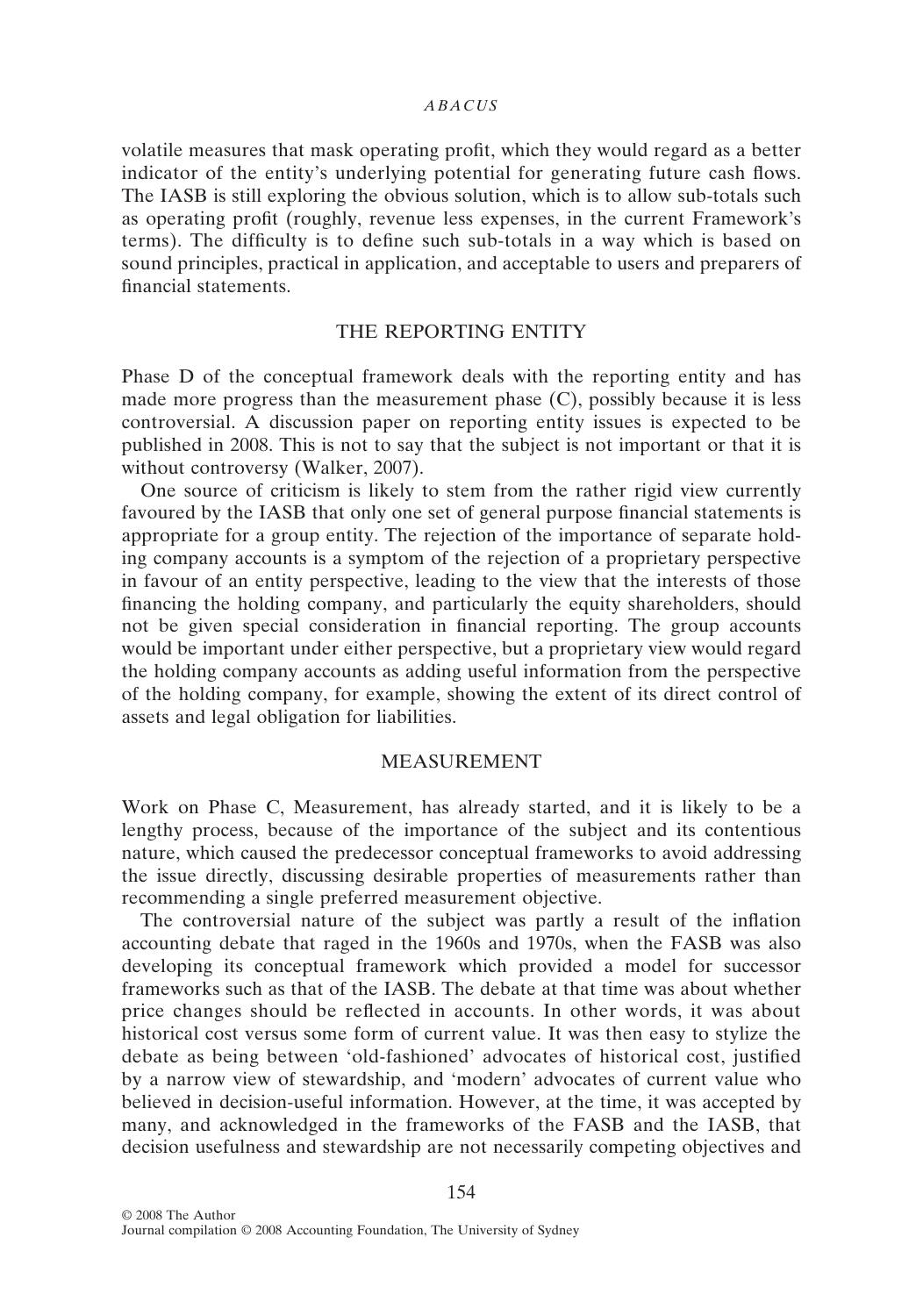volatile measures that mask operating profit, which they would regard as a better indicator of the entity's underlying potential for generating future cash flows. The IASB is still exploring the obvious solution, which is to allow sub-totals such as operating profit (roughly, revenue less expenses, in the current Framework's terms). The difficulty is to define such sub-totals in a way which is based on sound principles, practical in application, and acceptable to users and preparers of financial statements.

# THE REPORTING ENTITY

Phase D of the conceptual framework deals with the reporting entity and has made more progress than the measurement phase (C), possibly because it is less controversial. A discussion paper on reporting entity issues is expected to be published in 2008. This is not to say that the subject is not important or that it is without controversy (Walker, 2007).

One source of criticism is likely to stem from the rather rigid view currently favoured by the IASB that only one set of general purpose financial statements is appropriate for a group entity. The rejection of the importance of separate holding company accounts is a symptom of the rejection of a proprietary perspective in favour of an entity perspective, leading to the view that the interests of those financing the holding company, and particularly the equity shareholders, should not be given special consideration in financial reporting. The group accounts would be important under either perspective, but a proprietary view would regard the holding company accounts as adding useful information from the perspective of the holding company, for example, showing the extent of its direct control of assets and legal obligation for liabilities.

## MEASUREMENT

Work on Phase C, Measurement, has already started, and it is likely to be a lengthy process, because of the importance of the subject and its contentious nature, which caused the predecessor conceptual frameworks to avoid addressing the issue directly, discussing desirable properties of measurements rather than recommending a single preferred measurement objective.

The controversial nature of the subject was partly a result of the inflation accounting debate that raged in the 1960s and 1970s, when the FASB was also developing its conceptual framework which provided a model for successor frameworks such as that of the IASB. The debate at that time was about whether price changes should be reflected in accounts. In other words, it was about historical cost versus some form of current value. It was then easy to stylize the debate as being between 'old-fashioned' advocates of historical cost, justified by a narrow view of stewardship, and 'modern' advocates of current value who believed in decision-useful information. However, at the time, it was accepted by many, and acknowledged in the frameworks of the FASB and the IASB, that decision usefulness and stewardship are not necessarily competing objectives and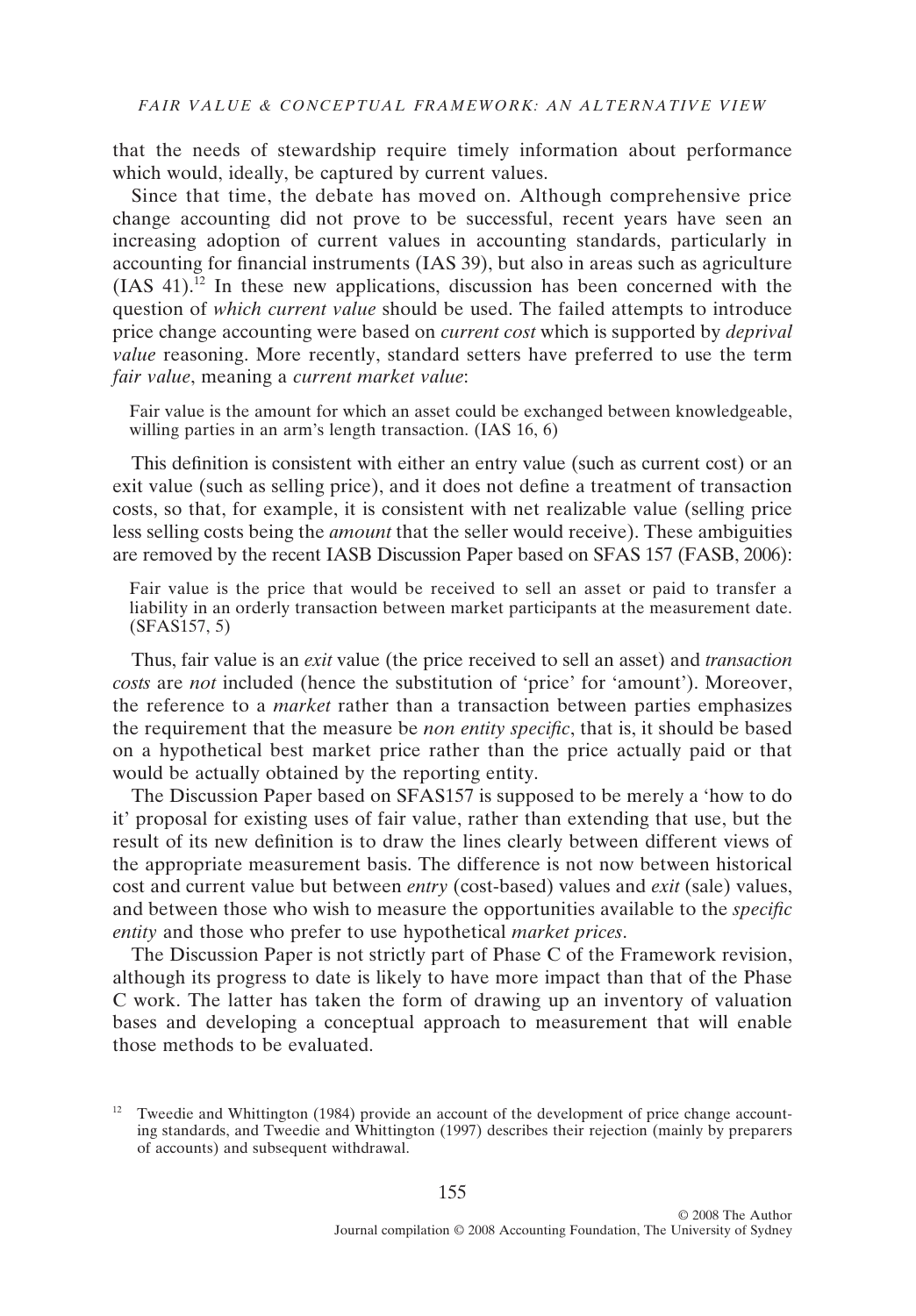that the needs of stewardship require timely information about performance which would, ideally, be captured by current values.

Since that time, the debate has moved on. Although comprehensive price change accounting did not prove to be successful, recent years have seen an increasing adoption of current values in accounting standards, particularly in accounting for financial instruments (IAS 39), but also in areas such as agriculture  $(IAS 41)<sup>12</sup>$  In these new applications, discussion has been concerned with the question of *which current value* should be used. The failed attempts to introduce price change accounting were based on *current cost* which is supported by *deprival value* reasoning. More recently, standard setters have preferred to use the term *fair value*, meaning a *current market value*:

Fair value is the amount for which an asset could be exchanged between knowledgeable, willing parties in an arm's length transaction. (IAS 16, 6)

This definition is consistent with either an entry value (such as current cost) or an exit value (such as selling price), and it does not define a treatment of transaction costs, so that, for example, it is consistent with net realizable value (selling price less selling costs being the *amount* that the seller would receive). These ambiguities are removed by the recent IASB Discussion Paper based on SFAS 157 (FASB, 2006):

Fair value is the price that would be received to sell an asset or paid to transfer a liability in an orderly transaction between market participants at the measurement date. (SFAS157, 5)

Thus, fair value is an *exit* value (the price received to sell an asset) and *transaction costs* are *not* included (hence the substitution of 'price' for 'amount'). Moreover, the reference to a *market* rather than a transaction between parties emphasizes the requirement that the measure be *non entity specific*, that is, it should be based on a hypothetical best market price rather than the price actually paid or that would be actually obtained by the reporting entity.

The Discussion Paper based on SFAS157 is supposed to be merely a 'how to do it' proposal for existing uses of fair value, rather than extending that use, but the result of its new definition is to draw the lines clearly between different views of the appropriate measurement basis. The difference is not now between historical cost and current value but between *entry* (cost-based) values and *exit* (sale) values, and between those who wish to measure the opportunities available to the *specific entity* and those who prefer to use hypothetical *market prices*.

The Discussion Paper is not strictly part of Phase C of the Framework revision, although its progress to date is likely to have more impact than that of the Phase C work. The latter has taken the form of drawing up an inventory of valuation bases and developing a conceptual approach to measurement that will enable those methods to be evaluated.

<sup>&</sup>lt;sup>12</sup> Tweedie and Whittington (1984) provide an account of the development of price change accounting standards, and Tweedie and Whittington (1997) describes their rejection (mainly by preparers of accounts) and subsequent withdrawal.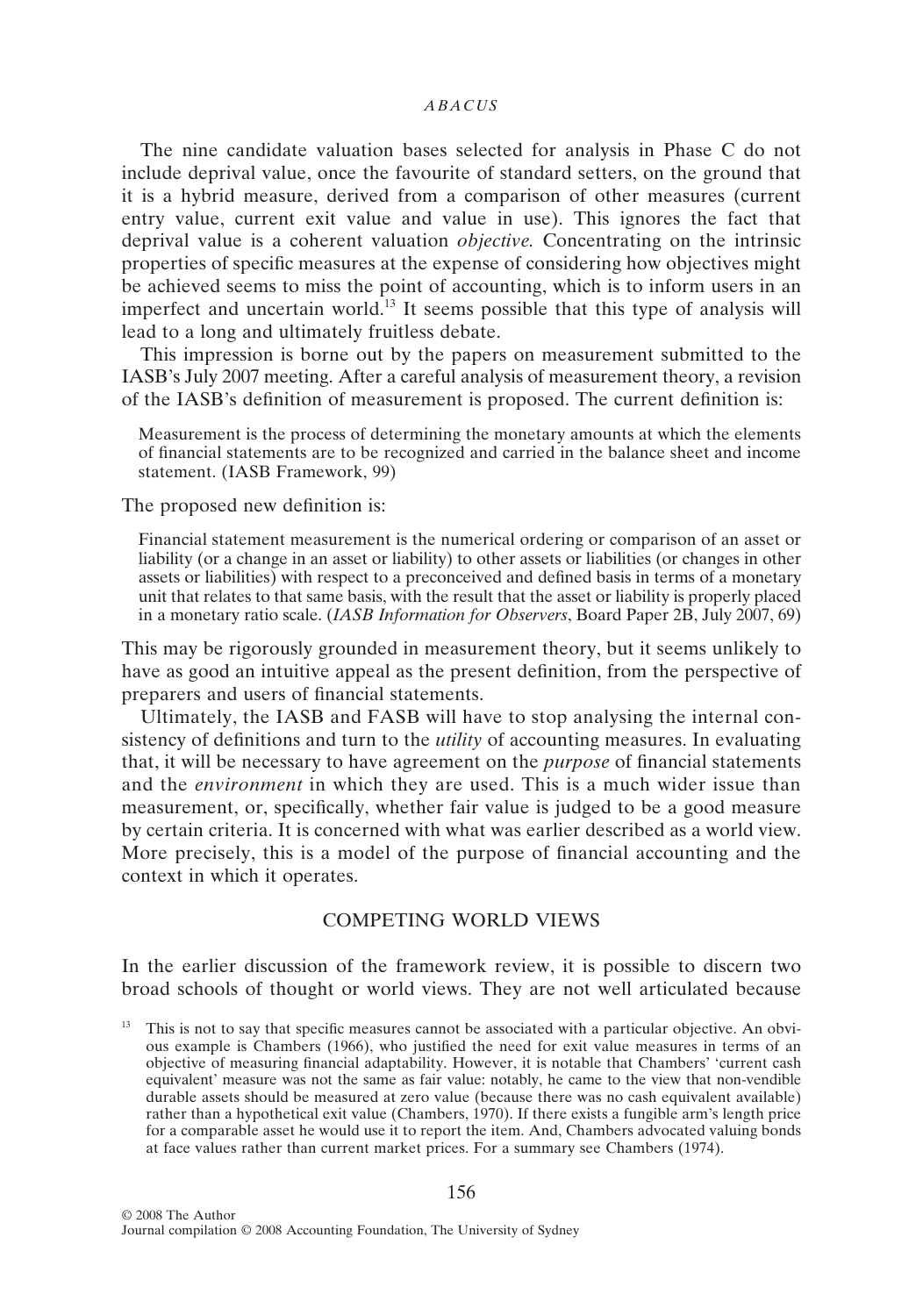The nine candidate valuation bases selected for analysis in Phase C do not include deprival value, once the favourite of standard setters, on the ground that it is a hybrid measure, derived from a comparison of other measures (current entry value, current exit value and value in use). This ignores the fact that deprival value is a coherent valuation *objective.* Concentrating on the intrinsic properties of specific measures at the expense of considering how objectives might be achieved seems to miss the point of accounting, which is to inform users in an imperfect and uncertain world.13 It seems possible that this type of analysis will lead to a long and ultimately fruitless debate.

This impression is borne out by the papers on measurement submitted to the IASB's July 2007 meeting. After a careful analysis of measurement theory, a revision of the IASB's definition of measurement is proposed. The current definition is:

Measurement is the process of determining the monetary amounts at which the elements of financial statements are to be recognized and carried in the balance sheet and income statement. (IASB Framework, 99)

The proposed new definition is:

Financial statement measurement is the numerical ordering or comparison of an asset or liability (or a change in an asset or liability) to other assets or liabilities (or changes in other assets or liabilities) with respect to a preconceived and defined basis in terms of a monetary unit that relates to that same basis, with the result that the asset or liability is properly placed in a monetary ratio scale. (*IASB Information for Observers*, Board Paper 2B, July 2007, 69)

This may be rigorously grounded in measurement theory, but it seems unlikely to have as good an intuitive appeal as the present definition, from the perspective of preparers and users of financial statements.

Ultimately, the IASB and FASB will have to stop analysing the internal consistency of definitions and turn to the *utility* of accounting measures. In evaluating that, it will be necessary to have agreement on the *purpose* of financial statements and the *environment* in which they are used. This is a much wider issue than measurement, or, specifically, whether fair value is judged to be a good measure by certain criteria. It is concerned with what was earlier described as a world view. More precisely, this is a model of the purpose of financial accounting and the context in which it operates.

# COMPETING WORLD VIEWS

In the earlier discussion of the framework review, it is possible to discern two broad schools of thought or world views. They are not well articulated because

<sup>&</sup>lt;sup>13</sup> This is not to say that specific measures cannot be associated with a particular objective. An obvious example is Chambers (1966), who justified the need for exit value measures in terms of an objective of measuring financial adaptability. However, it is notable that Chambers' 'current cash equivalent' measure was not the same as fair value: notably, he came to the view that non-vendible durable assets should be measured at zero value (because there was no cash equivalent available) rather than a hypothetical exit value (Chambers, 1970). If there exists a fungible arm's length price for a comparable asset he would use it to report the item. And, Chambers advocated valuing bonds at face values rather than current market prices. For a summary see Chambers (1974).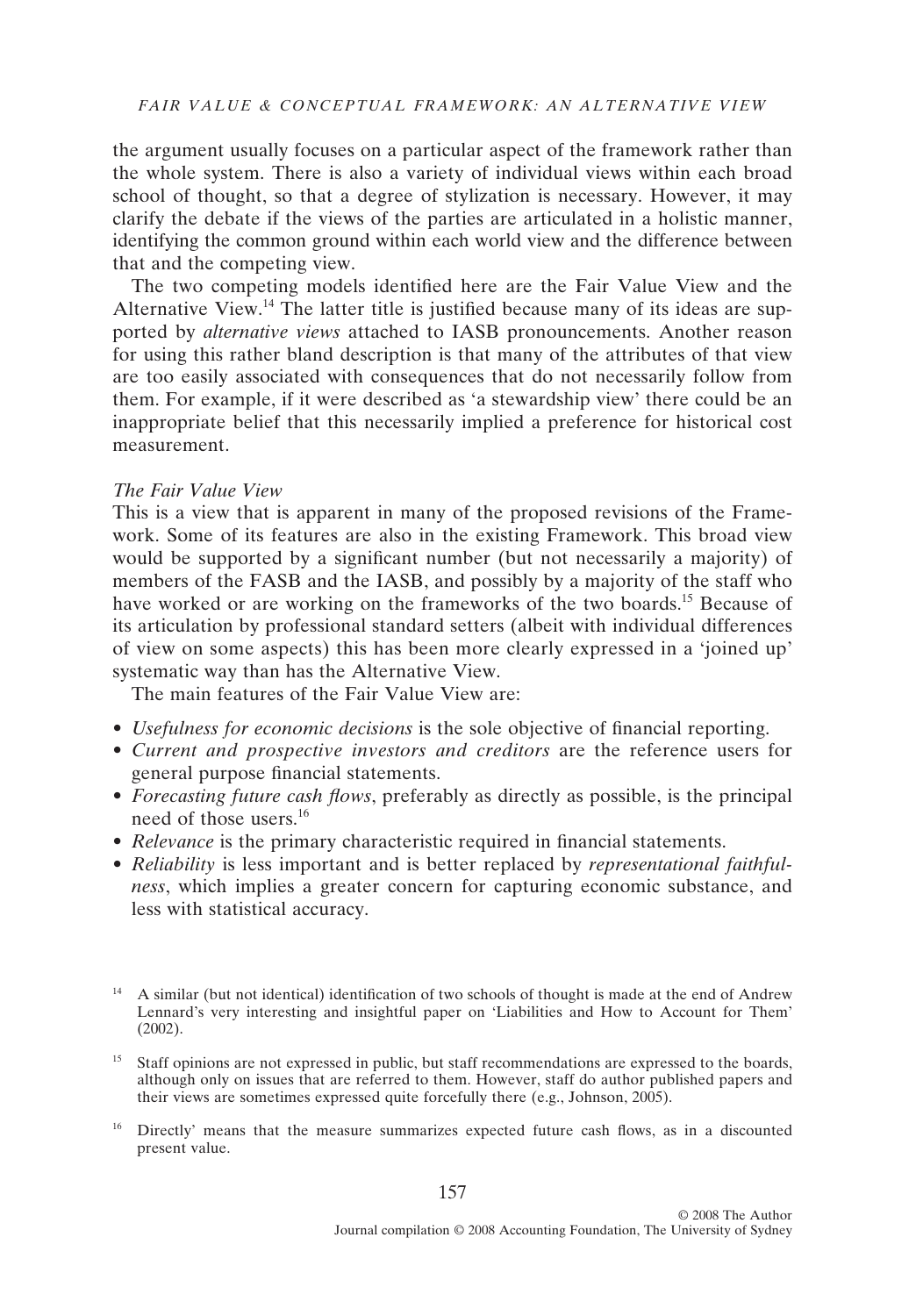the argument usually focuses on a particular aspect of the framework rather than the whole system. There is also a variety of individual views within each broad school of thought, so that a degree of stylization is necessary. However, it may clarify the debate if the views of the parties are articulated in a holistic manner, identifying the common ground within each world view and the difference between that and the competing view.

The two competing models identified here are the Fair Value View and the Alternative View.14 The latter title is justified because many of its ideas are supported by *alternative views* attached to IASB pronouncements. Another reason for using this rather bland description is that many of the attributes of that view are too easily associated with consequences that do not necessarily follow from them. For example, if it were described as 'a stewardship view' there could be an inappropriate belief that this necessarily implied a preference for historical cost measurement.

## *The Fair Value View*

This is a view that is apparent in many of the proposed revisions of the Framework. Some of its features are also in the existing Framework. This broad view would be supported by a significant number (but not necessarily a majority) of members of the FASB and the IASB, and possibly by a majority of the staff who have worked or are working on the frameworks of the two boards.<sup>15</sup> Because of its articulation by professional standard setters (albeit with individual differences of view on some aspects) this has been more clearly expressed in a 'joined up' systematic way than has the Alternative View.

The main features of the Fair Value View are:

- *Usefulness for economic decisions* is the sole objective of financial reporting.
- *Current and prospective investors and creditors* are the reference users for general purpose financial statements.
- *Forecasting future cash flows*, preferably as directly as possible, is the principal need of those users.16
- *Relevance* is the primary characteristic required in financial statements.
- *Reliability* is less important and is better replaced by *representational faithfulness*, which implies a greater concern for capturing economic substance, and less with statistical accuracy.

<sup>16</sup> Directly' means that the measure summarizes expected future cash flows, as in a discounted present value.

<sup>&</sup>lt;sup>14</sup> A similar (but not identical) identification of two schools of thought is made at the end of Andrew Lennard's very interesting and insightful paper on 'Liabilities and How to Account for Them' (2002).

<sup>&</sup>lt;sup>15</sup> Staff opinions are not expressed in public, but staff recommendations are expressed to the boards, although only on issues that are referred to them. However, staff do author published papers and their views are sometimes expressed quite forcefully there (e.g., Johnson, 2005).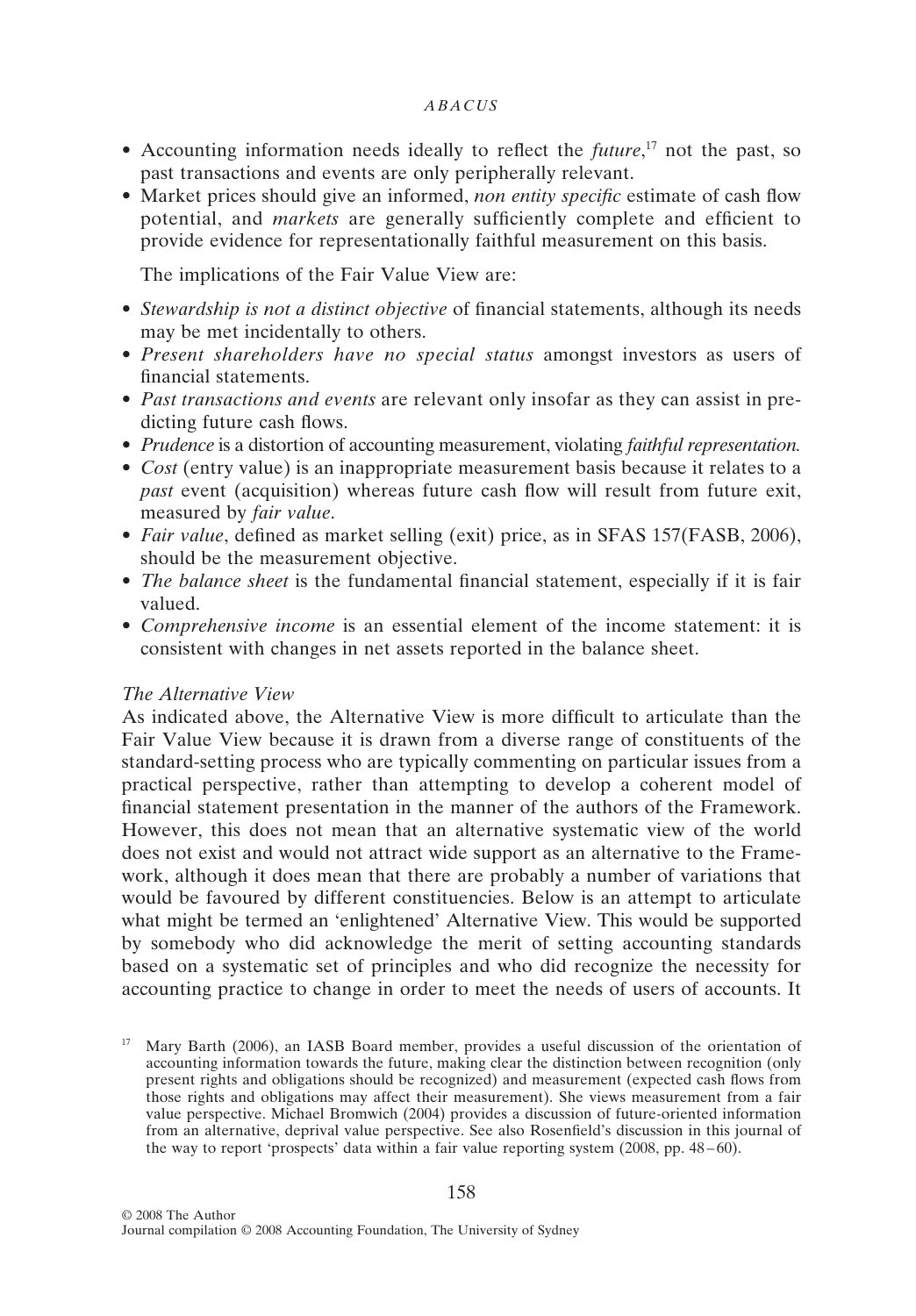- Accounting information needs ideally to reflect the *future*, <sup>17</sup> not the past, so past transactions and events are only peripherally relevant.
- Market prices should give an informed, *non entity specific* estimate of cash flow potential, and *markets* are generally sufficiently complete and efficient to provide evidence for representationally faithful measurement on this basis.

The implications of the Fair Value View are:

- *Stewardship is not a distinct objective* of financial statements, although its needs may be met incidentally to others.
- *Present shareholders have no special status* amongst investors as users of financial statements.
- *Past transactions and events* are relevant only insofar as they can assist in predicting future cash flows.
- *Prudence* is a distortion of accounting measurement, violating *faithful representation.*
- *Cost* (entry value) is an inappropriate measurement basis because it relates to a *past* event (acquisition) whereas future cash flow will result from future exit, measured by *fair value*.
- *Fair value*, defined as market selling (exit) price, as in SFAS 157(FASB, 2006), should be the measurement objective.
- *The balance sheet* is the fundamental financial statement, especially if it is fair valued.
- *Comprehensive income* is an essential element of the income statement: it is consistent with changes in net assets reported in the balance sheet.

## *The Alternative View*

As indicated above, the Alternative View is more difficult to articulate than the Fair Value View because it is drawn from a diverse range of constituents of the standard-setting process who are typically commenting on particular issues from a practical perspective, rather than attempting to develop a coherent model of financial statement presentation in the manner of the authors of the Framework. However, this does not mean that an alternative systematic view of the world does not exist and would not attract wide support as an alternative to the Framework, although it does mean that there are probably a number of variations that would be favoured by different constituencies. Below is an attempt to articulate what might be termed an 'enlightened' Alternative View. This would be supported by somebody who did acknowledge the merit of setting accounting standards based on a systematic set of principles and who did recognize the necessity for accounting practice to change in order to meet the needs of users of accounts. It

<sup>&</sup>lt;sup>17</sup> Mary Barth (2006), an IASB Board member, provides a useful discussion of the orientation of accounting information towards the future, making clear the distinction between recognition (only present rights and obligations should be recognized) and measurement (expected cash flows from those rights and obligations may affect their measurement). She views measurement from a fair value perspective. Michael Bromwich (2004) provides a discussion of future-oriented information from an alternative, deprival value perspective. See also Rosenfield's discussion in this journal of the way to report 'prospects' data within a fair value reporting system (2008, pp. 48 – 60).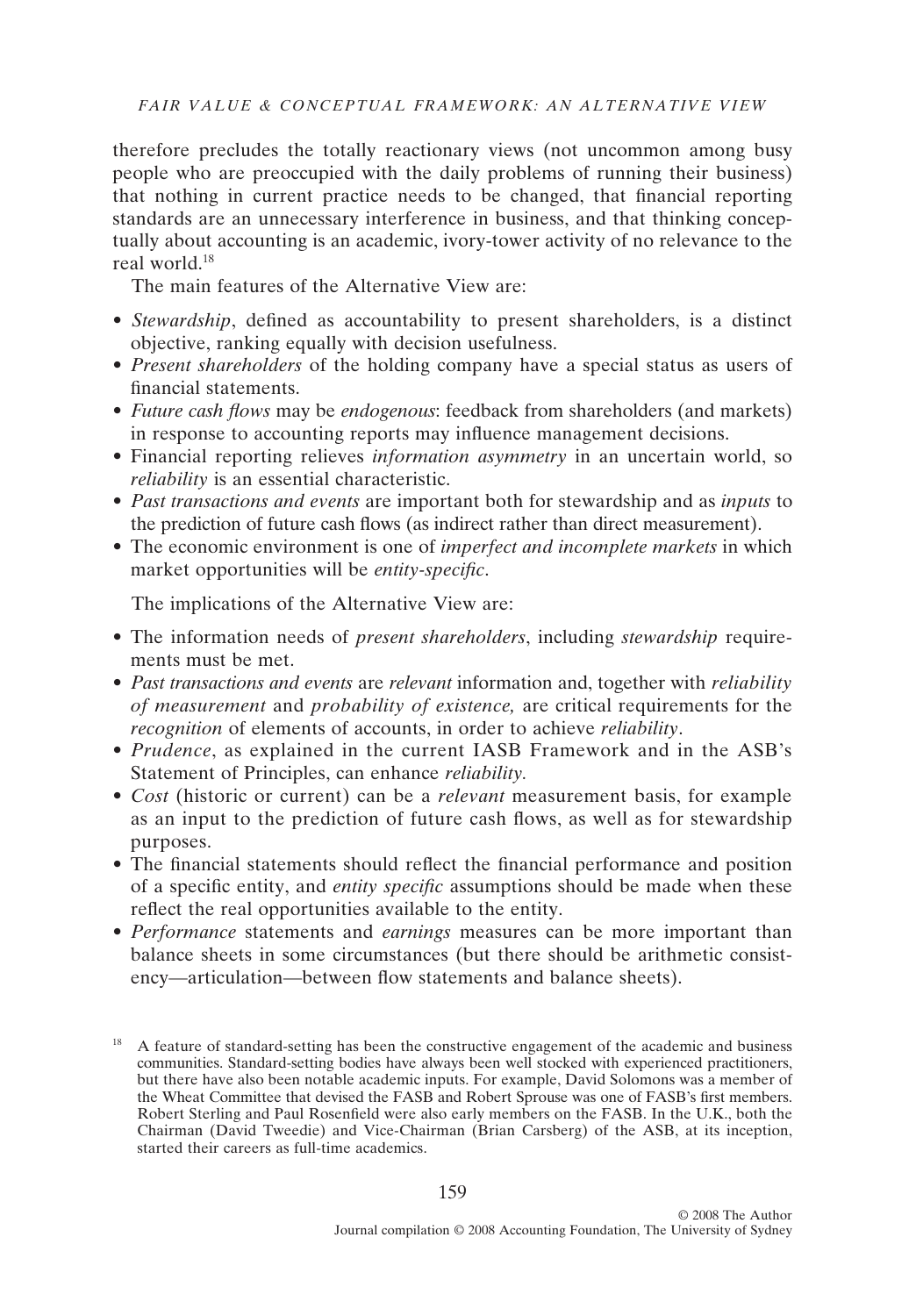therefore precludes the totally reactionary views (not uncommon among busy people who are preoccupied with the daily problems of running their business) that nothing in current practice needs to be changed, that financial reporting standards are an unnecessary interference in business, and that thinking conceptually about accounting is an academic, ivory-tower activity of no relevance to the real world.18

The main features of the Alternative View are:

- *Stewardship*, defined as accountability to present shareholders, is a distinct objective, ranking equally with decision usefulness.
- *Present shareholders* of the holding company have a special status as users of financial statements.
- *Future cash flows* may be *endogenous*: feedback from shareholders (and markets) in response to accounting reports may influence management decisions.
- Financial reporting relieves *information asymmetry* in an uncertain world, so *reliability* is an essential characteristic.
- *Past transactions and events* are important both for stewardship and as *inputs* to the prediction of future cash flows (as indirect rather than direct measurement).
- The economic environment is one of *imperfect and incomplete markets* in which market opportunities will be *entity-specific*.

The implications of the Alternative View are:

- The information needs of *present shareholders*, including *stewardship* requirements must be met.
- *Past transactions and events* are *relevant* information and, together with *reliability of measurement* and *probability of existence,* are critical requirements for the *recognition* of elements of accounts, in order to achieve *reliability*.
- *Prudence*, as explained in the current IASB Framework and in the ASB's Statement of Principles, can enhance *reliability.*
- *Cost* (historic or current) can be a *relevant* measurement basis, for example as an input to the prediction of future cash flows, as well as for stewardship purposes.
- The financial statements should reflect the financial performance and position of a specific entity, and *entity specific* assumptions should be made when these reflect the real opportunities available to the entity.
- *Performance* statements and *earnings* measures can be more important than balance sheets in some circumstances (but there should be arithmetic consistency—articulation—between flow statements and balance sheets).

<sup>18</sup> A feature of standard-setting has been the constructive engagement of the academic and business communities. Standard-setting bodies have always been well stocked with experienced practitioners, but there have also been notable academic inputs. For example, David Solomons was a member of the Wheat Committee that devised the FASB and Robert Sprouse was one of FASB's first members. Robert Sterling and Paul Rosenfield were also early members on the FASB. In the U.K., both the Chairman (David Tweedie) and Vice-Chairman (Brian Carsberg) of the ASB, at its inception, started their careers as full-time academics.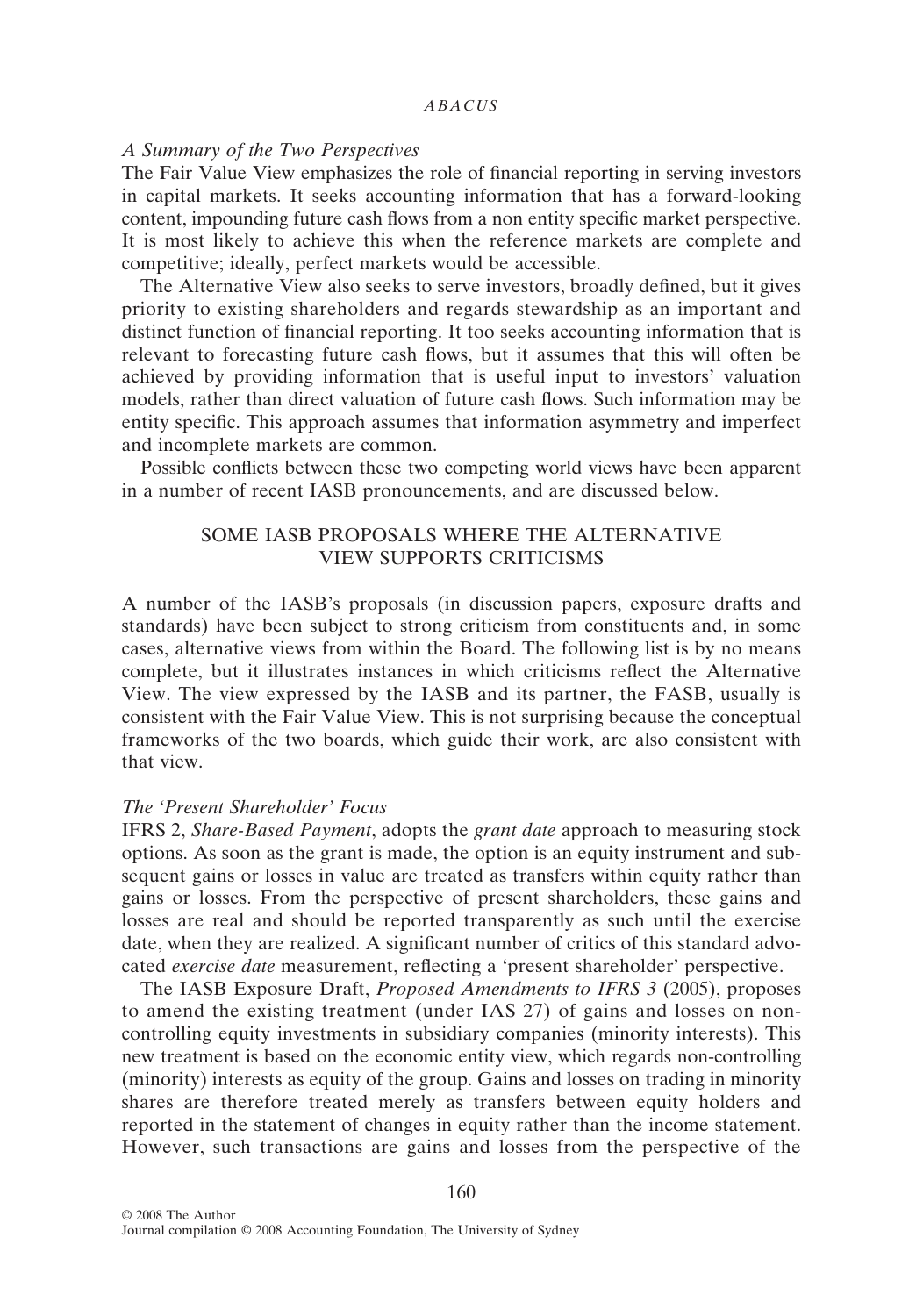# *A Summary of the Two Perspectives*

The Fair Value View emphasizes the role of financial reporting in serving investors in capital markets. It seeks accounting information that has a forward-looking content, impounding future cash flows from a non entity specific market perspective. It is most likely to achieve this when the reference markets are complete and competitive; ideally, perfect markets would be accessible.

The Alternative View also seeks to serve investors, broadly defined, but it gives priority to existing shareholders and regards stewardship as an important and distinct function of financial reporting. It too seeks accounting information that is relevant to forecasting future cash flows, but it assumes that this will often be achieved by providing information that is useful input to investors' valuation models, rather than direct valuation of future cash flows. Such information may be entity specific. This approach assumes that information asymmetry and imperfect and incomplete markets are common.

Possible conflicts between these two competing world views have been apparent in a number of recent IASB pronouncements, and are discussed below.

# SOME IASB PROPOSALS WHERE THE ALTERNATIVE VIEW SUPPORTS CRITICISMS

A number of the IASB's proposals (in discussion papers, exposure drafts and standards) have been subject to strong criticism from constituents and, in some cases, alternative views from within the Board. The following list is by no means complete, but it illustrates instances in which criticisms reflect the Alternative View. The view expressed by the IASB and its partner, the FASB, usually is consistent with the Fair Value View. This is not surprising because the conceptual frameworks of the two boards, which guide their work, are also consistent with that view.

# *The 'Present Shareholder' Focus*

IFRS 2, *Share-Based Payment*, adopts the *grant date* approach to measuring stock options. As soon as the grant is made, the option is an equity instrument and subsequent gains or losses in value are treated as transfers within equity rather than gains or losses. From the perspective of present shareholders, these gains and losses are real and should be reported transparently as such until the exercise date, when they are realized. A significant number of critics of this standard advocated *exercise date* measurement, reflecting a 'present shareholder' perspective.

The IASB Exposure Draft, *Proposed Amendments to IFRS 3* (2005), proposes to amend the existing treatment (under IAS 27) of gains and losses on noncontrolling equity investments in subsidiary companies (minority interests). This new treatment is based on the economic entity view, which regards non-controlling (minority) interests as equity of the group. Gains and losses on trading in minority shares are therefore treated merely as transfers between equity holders and reported in the statement of changes in equity rather than the income statement. However, such transactions are gains and losses from the perspective of the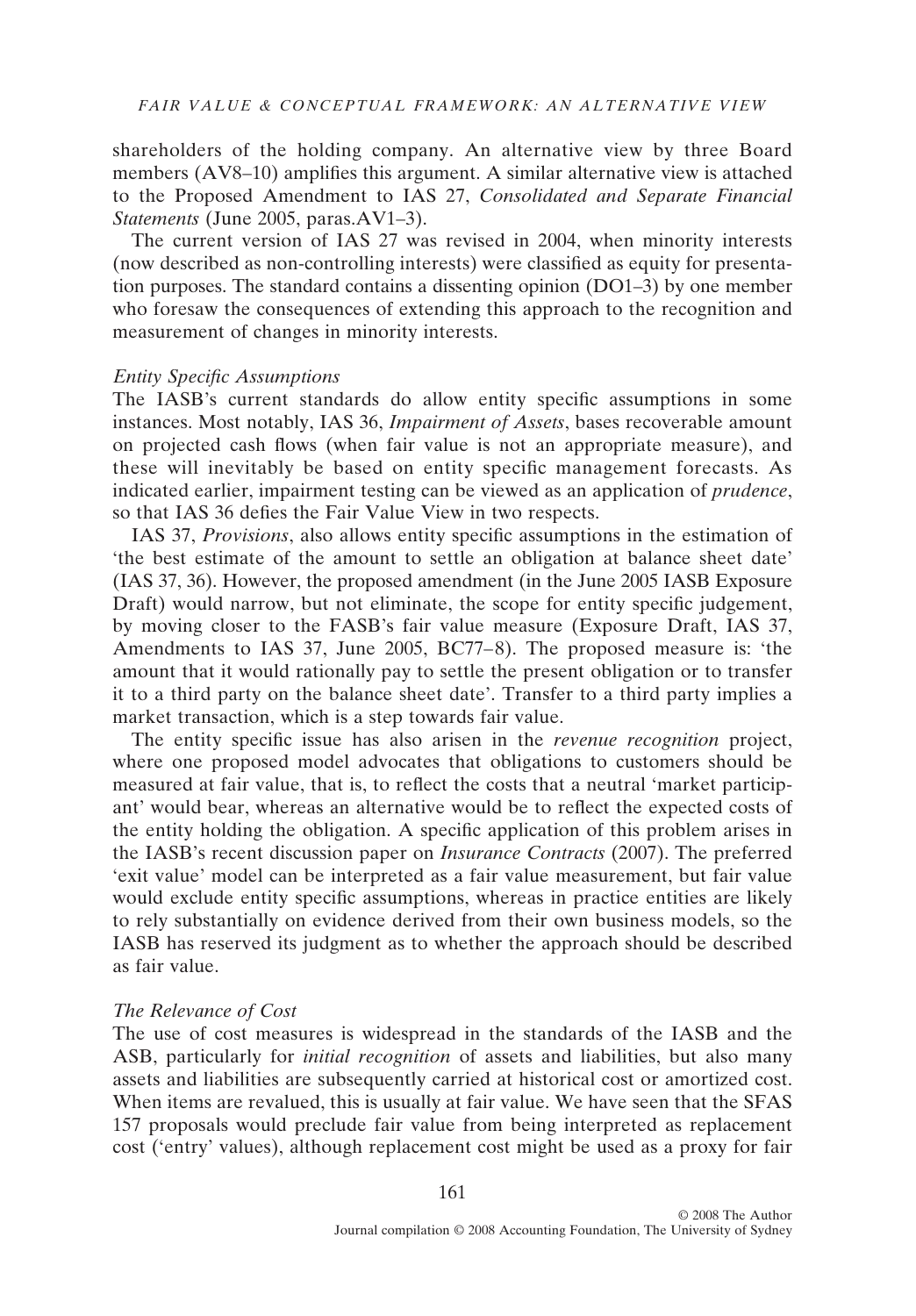shareholders of the holding company. An alternative view by three Board members (AV8–10) amplifies this argument. A similar alternative view is attached to the Proposed Amendment to IAS 27, *Consolidated and Separate Financial Statements* (June 2005, paras.AV1–3).

The current version of IAS 27 was revised in 2004, when minority interests (now described as non-controlling interests) were classified as equity for presentation purposes. The standard contains a dissenting opinion (DO1–3) by one member who foresaw the consequences of extending this approach to the recognition and measurement of changes in minority interests.

## *Entity Specific Assumptions*

The IASB's current standards do allow entity specific assumptions in some instances. Most notably, IAS 36, *Impairment of Assets*, bases recoverable amount on projected cash flows (when fair value is not an appropriate measure), and these will inevitably be based on entity specific management forecasts. As indicated earlier, impairment testing can be viewed as an application of *prudence*, so that IAS 36 defies the Fair Value View in two respects.

IAS 37, *Provisions*, also allows entity specific assumptions in the estimation of 'the best estimate of the amount to settle an obligation at balance sheet date' (IAS 37, 36). However, the proposed amendment (in the June 2005 IASB Exposure Draft) would narrow, but not eliminate, the scope for entity specific judgement, by moving closer to the FASB's fair value measure (Exposure Draft, IAS 37, Amendments to IAS 37, June 2005, BC77–8). The proposed measure is: 'the amount that it would rationally pay to settle the present obligation or to transfer it to a third party on the balance sheet date'. Transfer to a third party implies a market transaction, which is a step towards fair value.

The entity specific issue has also arisen in the *revenue recognition* project, where one proposed model advocates that obligations to customers should be measured at fair value, that is, to reflect the costs that a neutral 'market participant' would bear, whereas an alternative would be to reflect the expected costs of the entity holding the obligation. A specific application of this problem arises in the IASB's recent discussion paper on *Insurance Contracts* (2007). The preferred 'exit value' model can be interpreted as a fair value measurement, but fair value would exclude entity specific assumptions, whereas in practice entities are likely to rely substantially on evidence derived from their own business models, so the IASB has reserved its judgment as to whether the approach should be described as fair value.

## *The Relevance of Cost*

The use of cost measures is widespread in the standards of the IASB and the ASB, particularly for *initial recognition* of assets and liabilities, but also many assets and liabilities are subsequently carried at historical cost or amortized cost. When items are revalued, this is usually at fair value. We have seen that the SFAS 157 proposals would preclude fair value from being interpreted as replacement cost ('entry' values), although replacement cost might be used as a proxy for fair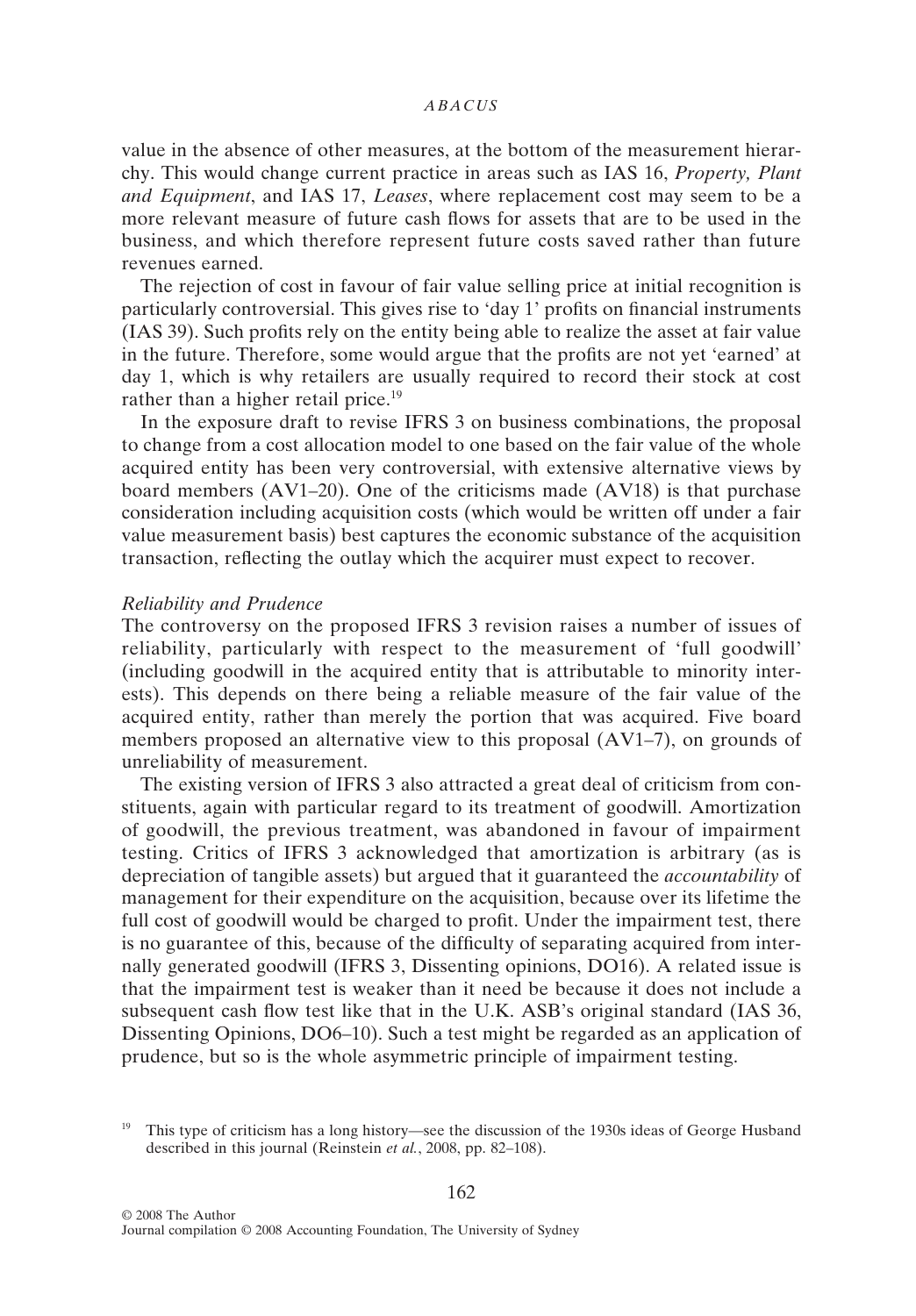value in the absence of other measures, at the bottom of the measurement hierarchy. This would change current practice in areas such as IAS 16, *Property, Plant and Equipment*, and IAS 17, *Leases*, where replacement cost may seem to be a more relevant measure of future cash flows for assets that are to be used in the business, and which therefore represent future costs saved rather than future revenues earned.

The rejection of cost in favour of fair value selling price at initial recognition is particularly controversial. This gives rise to 'day 1' profits on financial instruments (IAS 39). Such profits rely on the entity being able to realize the asset at fair value in the future. Therefore, some would argue that the profits are not yet 'earned' at day 1, which is why retailers are usually required to record their stock at cost rather than a higher retail price.<sup>19</sup>

In the exposure draft to revise IFRS 3 on business combinations, the proposal to change from a cost allocation model to one based on the fair value of the whole acquired entity has been very controversial, with extensive alternative views by board members (AV1–20). One of the criticisms made (AV18) is that purchase consideration including acquisition costs (which would be written off under a fair value measurement basis) best captures the economic substance of the acquisition transaction, reflecting the outlay which the acquirer must expect to recover.

## *Reliability and Prudence*

The controversy on the proposed IFRS 3 revision raises a number of issues of reliability, particularly with respect to the measurement of 'full goodwill' (including goodwill in the acquired entity that is attributable to minority interests). This depends on there being a reliable measure of the fair value of the acquired entity, rather than merely the portion that was acquired. Five board members proposed an alternative view to this proposal (AV1–7), on grounds of unreliability of measurement.

The existing version of IFRS 3 also attracted a great deal of criticism from constituents, again with particular regard to its treatment of goodwill. Amortization of goodwill, the previous treatment, was abandoned in favour of impairment testing. Critics of IFRS 3 acknowledged that amortization is arbitrary (as is depreciation of tangible assets) but argued that it guaranteed the *accountability* of management for their expenditure on the acquisition, because over its lifetime the full cost of goodwill would be charged to profit. Under the impairment test, there is no guarantee of this, because of the difficulty of separating acquired from internally generated goodwill (IFRS 3, Dissenting opinions, DO16). A related issue is that the impairment test is weaker than it need be because it does not include a subsequent cash flow test like that in the U.K. ASB's original standard (IAS 36, Dissenting Opinions, DO6–10). Such a test might be regarded as an application of prudence, but so is the whole asymmetric principle of impairment testing.

<sup>&</sup>lt;sup>19</sup> This type of criticism has a long history—see the discussion of the 1930s ideas of George Husband described in this journal (Reinstein *et al.*, 2008, pp. 82–108).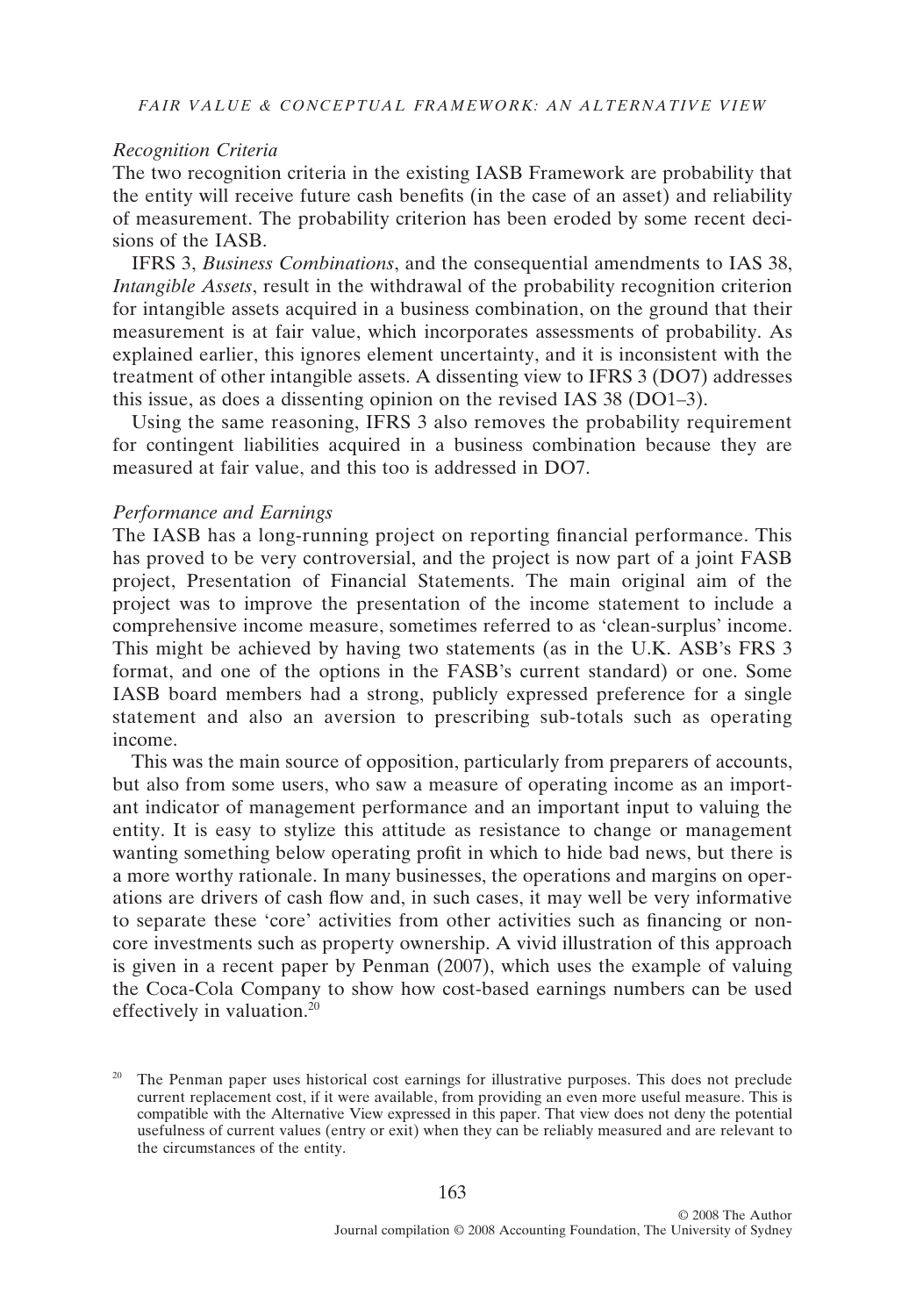## *Recognition Criteria*

The two recognition criteria in the existing IASB Framework are probability that the entity will receive future cash benefits (in the case of an asset) and reliability of measurement. The probability criterion has been eroded by some recent decisions of the IASB.

IFRS 3, *Business Combinations*, and the consequential amendments to IAS 38, *Intangible Assets*, result in the withdrawal of the probability recognition criterion for intangible assets acquired in a business combination, on the ground that their measurement is at fair value, which incorporates assessments of probability. As explained earlier, this ignores element uncertainty, and it is inconsistent with the treatment of other intangible assets. A dissenting view to IFRS 3 (DO7) addresses this issue, as does a dissenting opinion on the revised IAS 38 (DO1–3).

Using the same reasoning, IFRS 3 also removes the probability requirement for contingent liabilities acquired in a business combination because they are measured at fair value, and this too is addressed in DO7.

## *Performance and Earnings*

The IASB has a long-running project on reporting financial performance. This has proved to be very controversial, and the project is now part of a joint FASB project, Presentation of Financial Statements. The main original aim of the project was to improve the presentation of the income statement to include a comprehensive income measure, sometimes referred to as 'clean-surplus' income. This might be achieved by having two statements (as in the U.K. ASB's FRS 3 format, and one of the options in the FASB's current standard) or one. Some IASB board members had a strong, publicly expressed preference for a single statement and also an aversion to prescribing sub-totals such as operating income.

This was the main source of opposition, particularly from preparers of accounts, but also from some users, who saw a measure of operating income as an important indicator of management performance and an important input to valuing the entity. It is easy to stylize this attitude as resistance to change or management wanting something below operating profit in which to hide bad news, but there is a more worthy rationale. In many businesses, the operations and margins on operations are drivers of cash flow and, in such cases, it may well be very informative to separate these 'core' activities from other activities such as financing or noncore investments such as property ownership. A vivid illustration of this approach is given in a recent paper by Penman (2007), which uses the example of valuing the Coca-Cola Company to show how cost-based earnings numbers can be used effectively in valuation.<sup>20</sup>

 $20$  The Penman paper uses historical cost earnings for illustrative purposes. This does not preclude current replacement cost, if it were available, from providing an even more useful measure. This is compatible with the Alternative View expressed in this paper. That view does not deny the potential usefulness of current values (entry or exit) when they can be reliably measured and are relevant to the circumstances of the entity.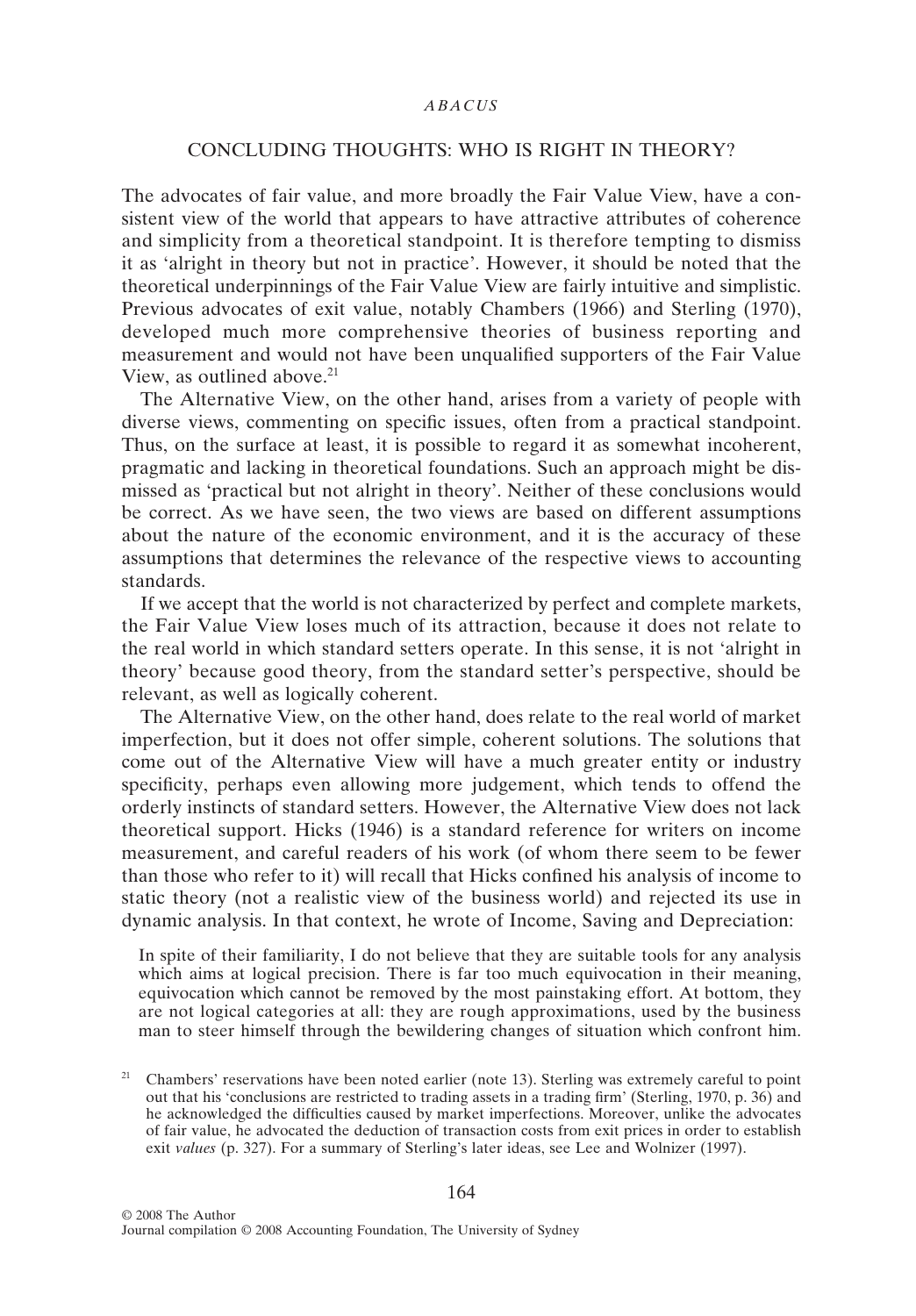# CONCLUDING THOUGHTS: WHO IS RIGHT IN THEORY?

The advocates of fair value, and more broadly the Fair Value View, have a consistent view of the world that appears to have attractive attributes of coherence and simplicity from a theoretical standpoint. It is therefore tempting to dismiss it as 'alright in theory but not in practice'. However, it should be noted that the theoretical underpinnings of the Fair Value View are fairly intuitive and simplistic. Previous advocates of exit value, notably Chambers (1966) and Sterling (1970), developed much more comprehensive theories of business reporting and measurement and would not have been unqualified supporters of the Fair Value View, as outlined above. $21$ 

The Alternative View, on the other hand, arises from a variety of people with diverse views, commenting on specific issues, often from a practical standpoint. Thus, on the surface at least, it is possible to regard it as somewhat incoherent, pragmatic and lacking in theoretical foundations. Such an approach might be dismissed as 'practical but not alright in theory'. Neither of these conclusions would be correct. As we have seen, the two views are based on different assumptions about the nature of the economic environment, and it is the accuracy of these assumptions that determines the relevance of the respective views to accounting standards.

If we accept that the world is not characterized by perfect and complete markets, the Fair Value View loses much of its attraction, because it does not relate to the real world in which standard setters operate. In this sense, it is not 'alright in theory' because good theory, from the standard setter's perspective, should be relevant, as well as logically coherent.

The Alternative View, on the other hand, does relate to the real world of market imperfection, but it does not offer simple, coherent solutions. The solutions that come out of the Alternative View will have a much greater entity or industry specificity, perhaps even allowing more judgement, which tends to offend the orderly instincts of standard setters. However, the Alternative View does not lack theoretical support. Hicks (1946) is a standard reference for writers on income measurement, and careful readers of his work (of whom there seem to be fewer than those who refer to it) will recall that Hicks confined his analysis of income to static theory (not a realistic view of the business world) and rejected its use in dynamic analysis. In that context, he wrote of Income, Saving and Depreciation:

In spite of their familiarity, I do not believe that they are suitable tools for any analysis which aims at logical precision. There is far too much equivocation in their meaning, equivocation which cannot be removed by the most painstaking effort. At bottom, they are not logical categories at all: they are rough approximations, used by the business man to steer himself through the bewildering changes of situation which confront him.

<sup>&</sup>lt;sup>21</sup> Chambers' reservations have been noted earlier (note 13). Sterling was extremely careful to point out that his 'conclusions are restricted to trading assets in a trading firm' (Sterling, 1970, p. 36) and he acknowledged the difficulties caused by market imperfections. Moreover, unlike the advocates of fair value, he advocated the deduction of transaction costs from exit prices in order to establish exit *values* (p. 327). For a summary of Sterling's later ideas, see Lee and Wolnizer (1997).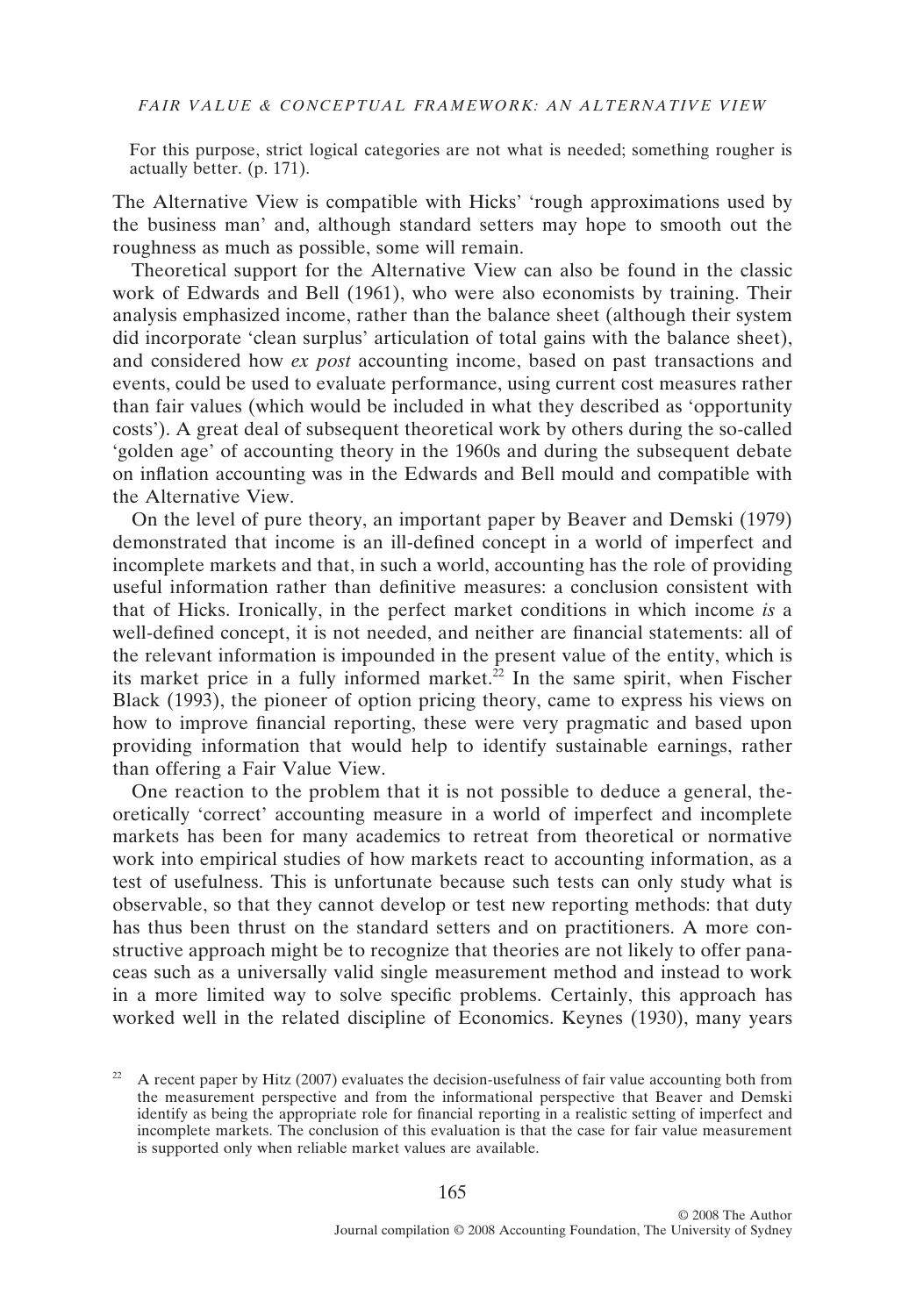For this purpose, strict logical categories are not what is needed; something rougher is actually better. (p. 171).

The Alternative View is compatible with Hicks' 'rough approximations used by the business man' and, although standard setters may hope to smooth out the roughness as much as possible, some will remain.

Theoretical support for the Alternative View can also be found in the classic work of Edwards and Bell (1961), who were also economists by training. Their analysis emphasized income, rather than the balance sheet (although their system did incorporate 'clean surplus' articulation of total gains with the balance sheet), and considered how *ex post* accounting income, based on past transactions and events, could be used to evaluate performance, using current cost measures rather than fair values (which would be included in what they described as 'opportunity costs'). A great deal of subsequent theoretical work by others during the so-called 'golden age' of accounting theory in the 1960s and during the subsequent debate on inflation accounting was in the Edwards and Bell mould and compatible with the Alternative View.

On the level of pure theory, an important paper by Beaver and Demski (1979) demonstrated that income is an ill-defined concept in a world of imperfect and incomplete markets and that, in such a world, accounting has the role of providing useful information rather than definitive measures: a conclusion consistent with that of Hicks. Ironically, in the perfect market conditions in which income *is* a well-defined concept, it is not needed, and neither are financial statements: all of the relevant information is impounded in the present value of the entity, which is its market price in a fully informed market.<sup>22</sup> In the same spirit, when Fischer Black (1993), the pioneer of option pricing theory, came to express his views on how to improve financial reporting, these were very pragmatic and based upon providing information that would help to identify sustainable earnings, rather than offering a Fair Value View.

One reaction to the problem that it is not possible to deduce a general, theoretically 'correct' accounting measure in a world of imperfect and incomplete markets has been for many academics to retreat from theoretical or normative work into empirical studies of how markets react to accounting information, as a test of usefulness. This is unfortunate because such tests can only study what is observable, so that they cannot develop or test new reporting methods: that duty has thus been thrust on the standard setters and on practitioners. A more constructive approach might be to recognize that theories are not likely to offer panaceas such as a universally valid single measurement method and instead to work in a more limited way to solve specific problems. Certainly, this approach has worked well in the related discipline of Economics. Keynes (1930), many years

<sup>&</sup>lt;sup>22</sup> A recent paper by Hitz (2007) evaluates the decision-usefulness of fair value accounting both from the measurement perspective and from the informational perspective that Beaver and Demski identify as being the appropriate role for financial reporting in a realistic setting of imperfect and incomplete markets. The conclusion of this evaluation is that the case for fair value measurement is supported only when reliable market values are available.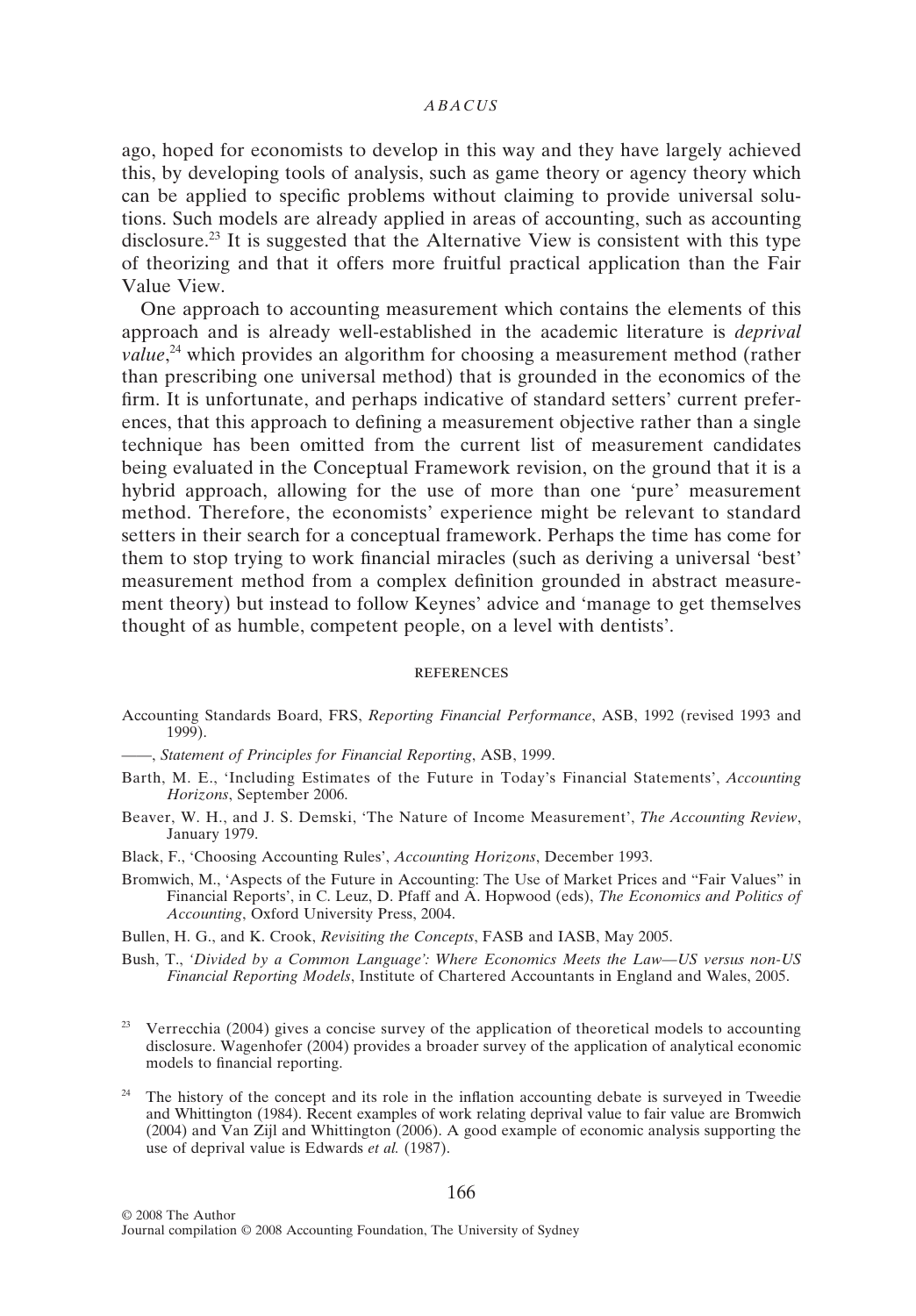ago, hoped for economists to develop in this way and they have largely achieved this, by developing tools of analysis, such as game theory or agency theory which can be applied to specific problems without claiming to provide universal solutions. Such models are already applied in areas of accounting, such as accounting disclosure.23 It is suggested that the Alternative View is consistent with this type of theorizing and that it offers more fruitful practical application than the Fair Value View.

One approach to accounting measurement which contains the elements of this approach and is already well-established in the academic literature is *deprival* value,<sup>24</sup> which provides an algorithm for choosing a measurement method (rather than prescribing one universal method) that is grounded in the economics of the firm. It is unfortunate, and perhaps indicative of standard setters' current preferences, that this approach to defining a measurement objective rather than a single technique has been omitted from the current list of measurement candidates being evaluated in the Conceptual Framework revision, on the ground that it is a hybrid approach, allowing for the use of more than one 'pure' measurement method. Therefore, the economists' experience might be relevant to standard setters in their search for a conceptual framework. Perhaps the time has come for them to stop trying to work financial miracles (such as deriving a universal 'best' measurement method from a complex definition grounded in abstract measurement theory) but instead to follow Keynes' advice and 'manage to get themselves thought of as humble, competent people, on a level with dentists'.

#### **REFERENCES**

- Accounting Standards Board, FRS, *Reporting Financial Performance*, ASB, 1992 (revised 1993 and 1999).
- ——, *Statement of Principles for Financial Reporting*, ASB, 1999.
- Barth, M. E., 'Including Estimates of the Future in Today's Financial Statements', *Accounting Horizons*, September 2006.
- Beaver, W. H., and J. S. Demski, 'The Nature of Income Measurement', *The Accounting Review*, January 1979.
- Black, F., 'Choosing Accounting Rules', *Accounting Horizons*, December 1993.
- Bromwich, M., 'Aspects of the Future in Accounting: The Use of Market Prices and "Fair Values" in Financial Reports', in C. Leuz, D. Pfaff and A. Hopwood (eds), *The Economics and Politics of Accounting*, Oxford University Press, 2004.
- Bullen, H. G., and K. Crook, *Revisiting the Concepts*, FASB and IASB, May 2005.
- Bush, T., *'Divided by a Common Language': Where Economics Meets the Law—US versus non-US Financial Reporting Models*, Institute of Chartered Accountants in England and Wales, 2005.
- <sup>23</sup> Verrecchia (2004) gives a concise survey of the application of theoretical models to accounting disclosure. Wagenhofer (2004) provides a broader survey of the application of analytical economic models to financial reporting.
- <sup>24</sup> The history of the concept and its role in the inflation accounting debate is surveyed in Tweedie and Whittington (1984). Recent examples of work relating deprival value to fair value are Bromwich (2004) and Van Zijl and Whittington (2006). A good example of economic analysis supporting the use of deprival value is Edwards *et al.* (1987).

166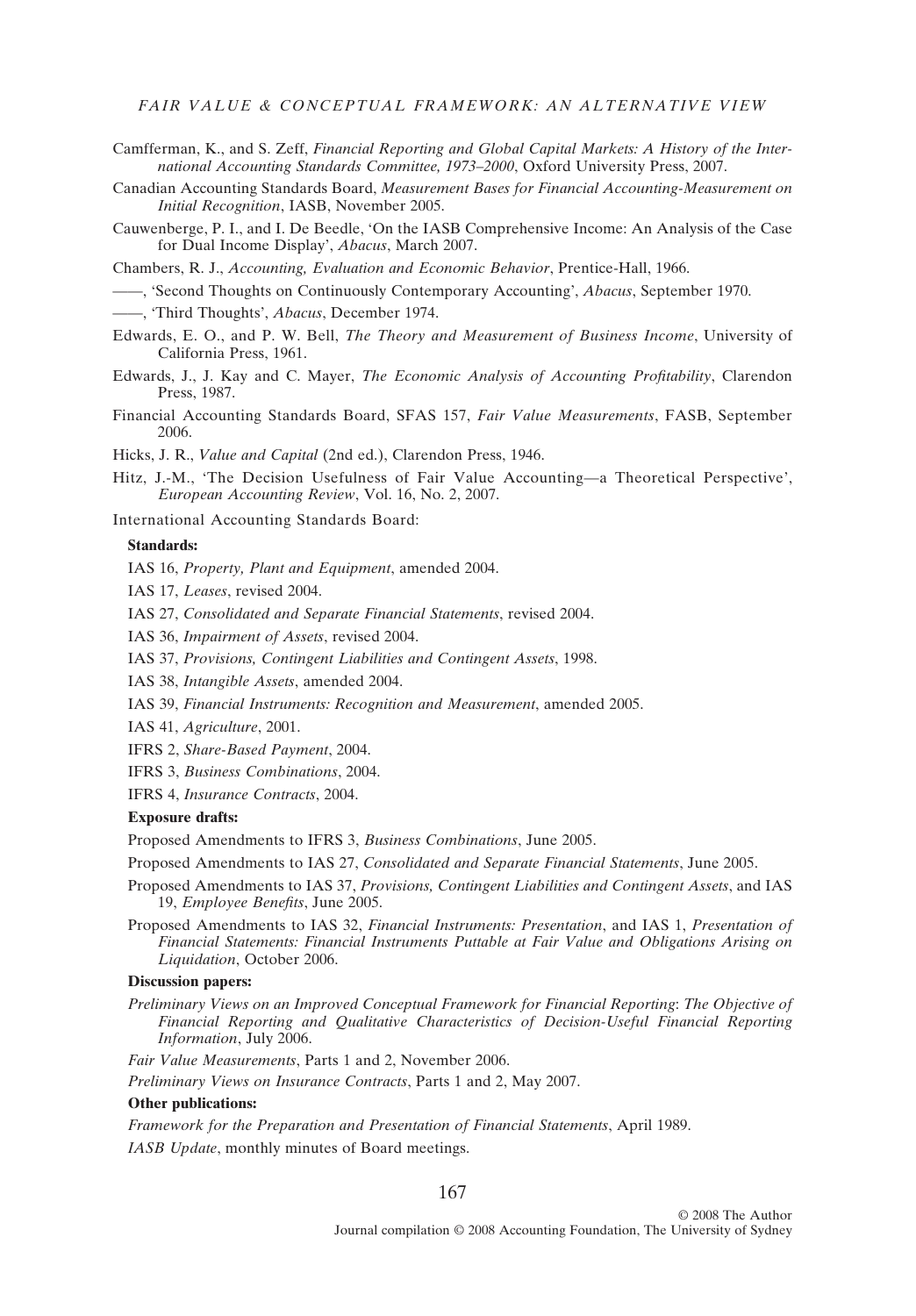- Camfferman, K., and S. Zeff, *Financial Reporting and Global Capital Markets: A History of the International Accounting Standards Committee, 1973–2000*, Oxford University Press, 2007.
- Canadian Accounting Standards Board, *Measurement Bases for Financial Accounting-Measurement on Initial Recognition*, IASB, November 2005.
- Cauwenberge, P. I., and I. De Beedle, 'On the IASB Comprehensive Income: An Analysis of the Case for Dual Income Display', *Abacus*, March 2007.
- Chambers, R. J., *Accounting, Evaluation and Economic Behavior*, Prentice-Hall, 1966.
- ——, 'Second Thoughts on Continuously Contemporary Accounting', *Abacus*, September 1970.
- ——, 'Third Thoughts', *Abacus*, December 1974.
- Edwards, E. O., and P. W. Bell, *The Theory and Measurement of Business Income*, University of California Press, 1961.
- Edwards, J., J. Kay and C. Mayer, *The Economic Analysis of Accounting Profitability*, Clarendon Press, 1987.
- Financial Accounting Standards Board, SFAS 157, *Fair Value Measurements*, FASB, September 2006.

Hicks, J. R., *Value and Capital* (2nd ed.), Clarendon Press, 1946.

Hitz, J.-M., 'The Decision Usefulness of Fair Value Accounting—a Theoretical Perspective', *European Accounting Review*, Vol. 16, No. 2, 2007.

International Accounting Standards Board:

#### **Standards:**

IAS 16, *Property, Plant and Equipment*, amended 2004.

- IAS 17, *Leases*, revised 2004.
- IAS 27, *Consolidated and Separate Financial Statements*, revised 2004.
- IAS 36, *Impairment of Assets*, revised 2004.
- IAS 37, *Provisions, Contingent Liabilities and Contingent Assets*, 1998.
- IAS 38, *Intangible Assets*, amended 2004.
- IAS 39, *Financial Instruments: Recognition and Measurement*, amended 2005.
- IAS 41, *Agriculture*, 2001.
- IFRS 2, *Share-Based Payment*, 2004.
- IFRS 3, *Business Combinations*, 2004.
- IFRS 4, *Insurance Contracts*, 2004.

#### **Exposure drafts:**

Proposed Amendments to IFRS 3, *Business Combinations*, June 2005.

- Proposed Amendments to IAS 27, *Consolidated and Separate Financial Statements*, June 2005.
- Proposed Amendments to IAS 37, *Provisions, Contingent Liabilities and Contingent Assets*, and IAS 19, *Employee Benefits*, June 2005.
- Proposed Amendments to IAS 32, *Financial Instruments: Presentation*, and IAS 1, *Presentation of Financial Statements: Financial Instruments Puttable at Fair Value and Obligations Arising on Liquidation*, October 2006.

#### **Discussion papers:**

*Preliminary Views on an Improved Conceptual Framework for Financial Reporting*: *The Objective of Financial Reporting and Qualitative Characteristics of Decision-Useful Financial Reporting Information*, July 2006.

*Fair Value Measurements*, Parts 1 and 2, November 2006.

*Preliminary Views on Insurance Contracts*, Parts 1 and 2, May 2007.

#### **Other publications:**

*Framework for the Preparation and Presentation of Financial Statements*, April 1989. *IASB Update*, monthly minutes of Board meetings.

#### 167